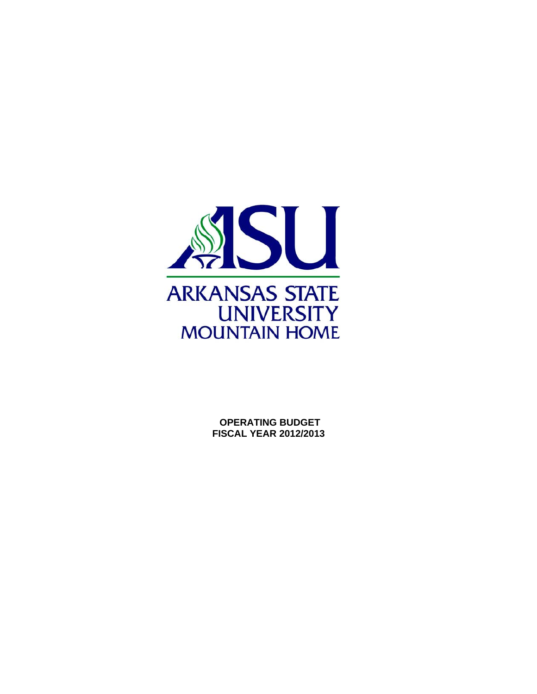

 **OPERATING BUDGET FISCAL YEAR 2012/2013**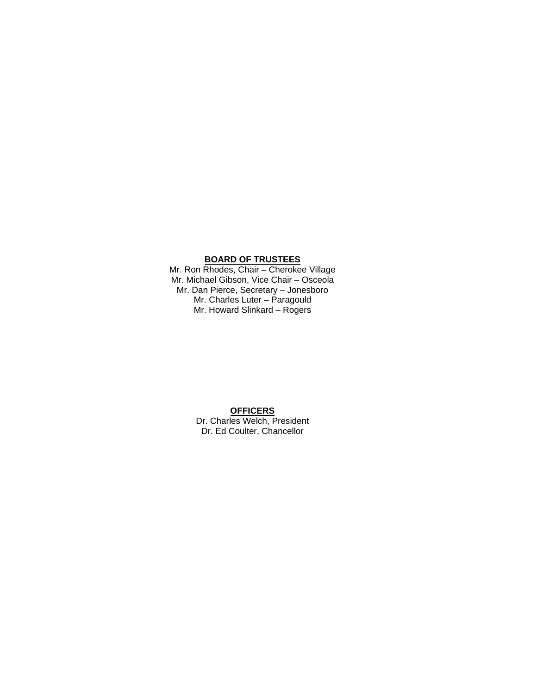#### **BOARD OF TRUSTEES**

Mr. Ron Rhodes, Chair – Cherokee Village Mr. Michael Gibson, Vice Chair – Osceola Mr. Dan Pierce, Secretary – Jonesboro Mr. Charles Luter – Paragould Mr. Howard Slinkard – Rogers

#### **OFFICERS**  Dr. Charles Welch, President Dr. Ed Coulter, Chancellor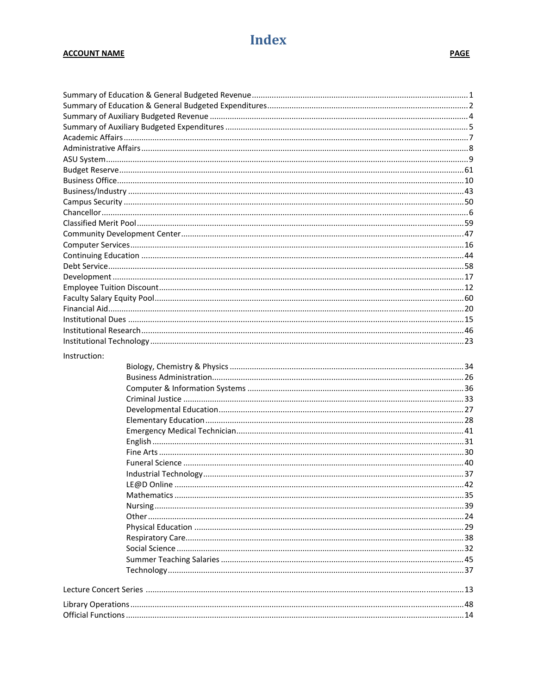## **Index**

#### **ACCOUNT NAME**

| Instruction: |  |
|--------------|--|
|              |  |
|              |  |
|              |  |
|              |  |
|              |  |
|              |  |
|              |  |
|              |  |
|              |  |
|              |  |
|              |  |
|              |  |
|              |  |
|              |  |
|              |  |
|              |  |
|              |  |
|              |  |
|              |  |
|              |  |
|              |  |
|              |  |
|              |  |
|              |  |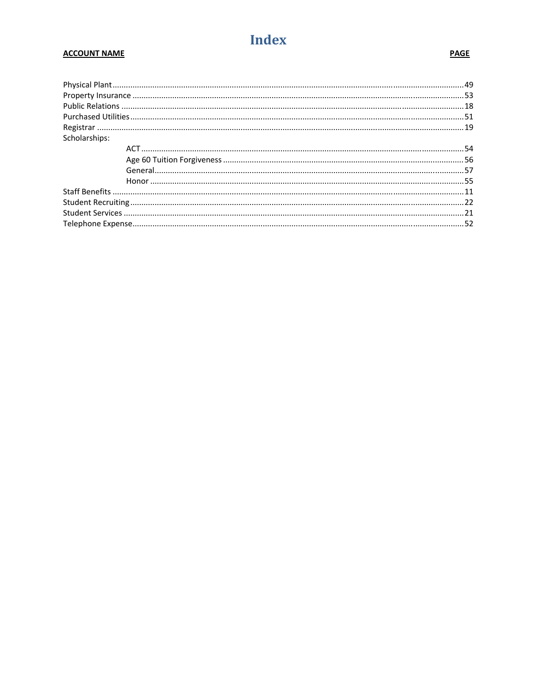## **Index**

#### **ACCOUNT NAME**

| Scholarships: |  |
|---------------|--|
|               |  |
|               |  |
|               |  |
|               |  |
|               |  |
|               |  |
|               |  |
|               |  |
|               |  |

#### **PAGE**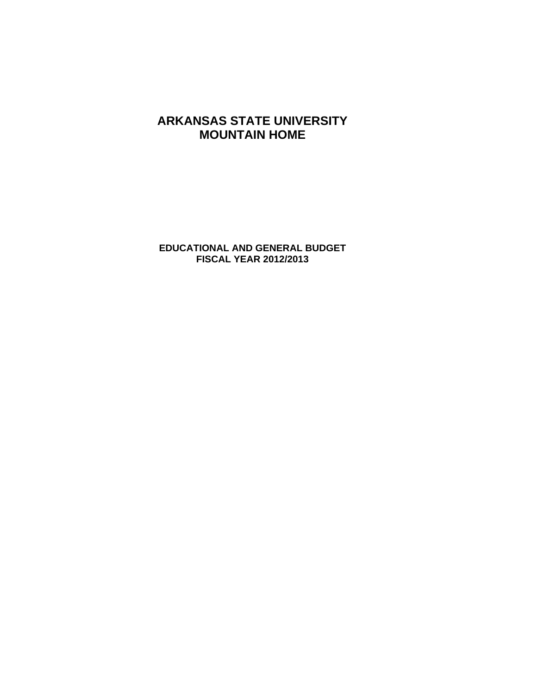**EDUCATIONAL AND GENERAL BUDGET FISCAL YEAR 2012/2013**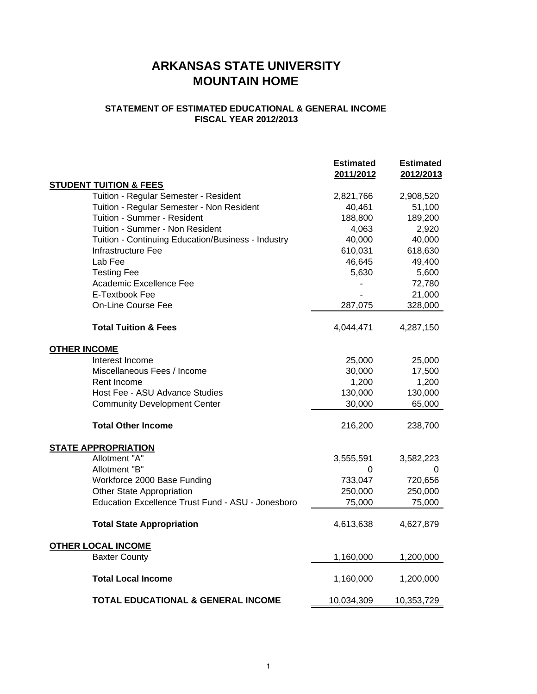#### **STATEMENT OF ESTIMATED EDUCATIONAL & GENERAL INCOME FISCAL YEAR 2012/2013**

|                                                    | <b>Estimated</b><br>2011/2012 | <b>Estimated</b><br>2012/2013 |
|----------------------------------------------------|-------------------------------|-------------------------------|
| <b>STUDENT TUITION &amp; FEES</b>                  |                               |                               |
| Tuition - Regular Semester - Resident              | 2,821,766                     | 2,908,520                     |
| Tuition - Regular Semester - Non Resident          | 40,461                        | 51,100                        |
| Tuition - Summer - Resident                        | 188,800                       | 189,200                       |
| Tuition - Summer - Non Resident                    | 4,063                         | 2,920                         |
| Tuition - Continuing Education/Business - Industry | 40,000                        | 40,000                        |
| Infrastructure Fee                                 | 610,031                       | 618,630                       |
| Lab Fee                                            | 46,645                        | 49,400                        |
| <b>Testing Fee</b>                                 | 5,630                         | 5,600                         |
| Academic Excellence Fee                            |                               | 72,780                        |
| E-Textbook Fee                                     |                               | 21,000                        |
| <b>On-Line Course Fee</b>                          | 287,075                       | 328,000                       |
| <b>Total Tuition &amp; Fees</b>                    | 4,044,471                     | 4,287,150                     |
| <b>OTHER INCOME</b>                                |                               |                               |
| Interest Income                                    | 25,000                        | 25,000                        |
| Miscellaneous Fees / Income                        | 30,000                        | 17,500                        |
| Rent Income                                        | 1,200                         | 1,200                         |
| Host Fee - ASU Advance Studies                     | 130,000                       | 130,000                       |
| <b>Community Development Center</b>                | 30,000                        | 65,000                        |
| <b>Total Other Income</b>                          | 216,200                       | 238,700                       |
| <b>STATE APPROPRIATION</b>                         |                               |                               |
| Allotment "A"                                      | 3,555,591                     | 3,582,223                     |
| Allotment "B"                                      | 0                             | 0                             |
| Workforce 2000 Base Funding                        | 733,047                       | 720,656                       |
| Other State Appropriation                          | 250,000                       | 250,000                       |
| Education Excellence Trust Fund - ASU - Jonesboro  | 75,000                        | 75,000                        |
| <b>Total State Appropriation</b>                   | 4,613,638                     | 4,627,879                     |
| <b>OTHER LOCAL INCOME</b>                          |                               |                               |
| <b>Baxter County</b>                               | 1,160,000                     | 1,200,000                     |
| <b>Total Local Income</b>                          | 1,160,000                     | 1,200,000                     |
| <b>TOTAL EDUCATIONAL &amp; GENERAL INCOME</b>      | 10,034,309                    | 10,353,729                    |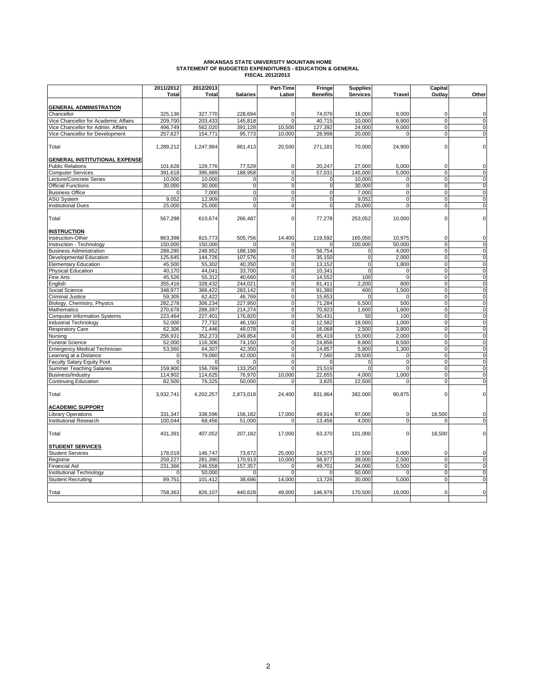# **ARKANSAS STATE UNIVERSITY MOUNTAIN HOME STATEMENT OF BUDGETED EXPENDITURES - EDUCATION & GENERAL FISCAL 2012/2013**

|                                        | 2011/2012        | 2012/2013        |                  | Part-Time                  | Fringe           | <b>Supplies</b>            |                   | Capital                    |                         |
|----------------------------------------|------------------|------------------|------------------|----------------------------|------------------|----------------------------|-------------------|----------------------------|-------------------------|
|                                        | <b>Total</b>     | <b>Total</b>     | <b>Salaries</b>  | Labor                      | <b>Benefits</b>  | <b>Services</b>            | <b>Travel</b>     | Outlay                     | Other                   |
| <b>GENERAL ADMINISTRATION</b>          |                  |                  |                  |                            |                  |                            |                   |                            |                         |
| Chancellor                             | 325,136          | 327,770          | 228.694          | $\Omega$                   | 74.076           | 16,000                     | 9.000             | $\mathbf 0$                | $\mathbf 0$             |
| Vice Chancellor for Academic Affairs   | 209.700          | 203.433          | 145.818          | $\Omega$                   | 40.715           | 10.000                     | 6.900             | $\overline{0}$             | $\overline{0}$          |
| Vice Chancellor for Admin. Affairs     | 496.749          | 562,020          | 391,128          | 10.500                     | 127,392          | 24,000                     | 9.000             | $\Omega$                   | $\mathbf 0$             |
| Vice Chancellor for Development        | 257,627          | 154,771          | 95,773           | 10,000                     | 28,998           | 20,000                     | $\Omega$          | $\mathbf 0$                | $\pmb{0}$               |
| Total                                  | 1,289,212        | 1,247,994        | 861,413          | 20,500                     | 271,181          | 70,000                     | 24,900            | $\mathbf 0$                | $\pmb{0}$               |
| <b>GENERAL INSTITUTIONAL EXPENSE</b>   |                  |                  |                  |                            |                  |                            |                   |                            |                         |
| <b>Public Relations</b>                | 101,628          | 129,776          | 77,529           | $\mathbf 0$                | 20,247           | 27,000                     | 5,000             | $\mathbf 0$                | $\mathbf 0$             |
| <b>Computer Services</b>               | 391,618          | 395,989          | 188,958          | $\mathbf 0$                | 57,031           | 145,000                    | 5,000             | $\mathbf 0$                | $\mathbf 0$             |
| Lecture/Concrete Series                | 10,000           | 10,000           | $\mathbf 0$      | $\mathbf 0$                | 0                | 10,000                     | $\mathbf 0$       | $\Omega$                   | $\mathbf 0$             |
| <b>Official Functions</b>              | 30,000           | 30.000           | $\mathbf 0$      | $\mathbf 0$                | $\mathbf 0$      | 30.000                     | $\mathbf 0$       | $\Omega$                   | $\mathbf 0$             |
| <b>Business Office</b>                 | n                | 7,000            | $\mathbf 0$      | $\mathbf 0$                | $\mathbf 0$      | 7,000                      | $\mathbf 0$       | $\Omega$                   | $\pmb{0}$               |
| <b>ASU System</b>                      | 9,052            | 12,909           | $\mathbf 0$      | $\Omega$                   | $\mathbf 0$      | 9,052                      | $\Omega$          | $\Omega$                   | $\mathbf 0$             |
| <b>Institutional Dues</b>              | 25,000           | 25,000           | $\overline{0}$   | $\overline{0}$             | $\mathbf 0$      | 25,000                     | $\overline{0}$    | $\overline{0}$             | o                       |
| Total                                  | 567,298          | 610,674          | 266,487          | $\mathbf 0$                | 77,278           | 253,052                    | 10,000            | $\mathbf 0$                | $\pmb{0}$               |
| <b>INSTRUCTION</b>                     |                  |                  |                  |                            |                  |                            |                   |                            |                         |
| Instruction-Other                      | 863,398          | 815,773          | 505,756          | 14,400                     | 119,592          | 165,050                    | 10,975            | $\Omega$                   | $\mathbf 0$             |
| Instruction - Technology               | 150.000          | 150.000          |                  | $\Omega$                   |                  | 100,000                    | 50.000            | $\Omega$                   | $\mathbf 0$             |
| <b>Business Administration</b>         | 288,285          | 248,952          | 188,198          | $\mathbf 0$                | 56,754           | 0                          | 4.000             | $\Omega$                   | ō                       |
| Developmental Education                | 125,645          | 144,726          | 107,576          | $\mathbf 0$                | 35,150           | $\pmb{0}$                  | 2,000             | $\mathbf 0$                | $\pmb{0}$               |
| <b>Elementary Education</b>            | 45,500<br>40,170 | 55,302<br>44,041 | 40,350<br>33,700 | $\mathbf 0$<br>$\mathbf 0$ | 13,152<br>10,341 | $\mathbf 0$<br>$\mathbf 0$ | 1,800<br>$\Omega$ | $\mathbf 0$<br>$\mathbf 0$ | $\mathsf{o}$<br>o       |
| Physical Education<br><b>Fine Arts</b> | 45,526           | 55,312           | 40,660           | $\mathbf 0$                | 14,552           | 100                        | $\Omega$          | $\mathbf 0$                | o                       |
| English                                | 355,416          | 328,432          | 244,021          | $\mathbf 0$                | 81,411           | 2,200                      | 800               | $\mathbf 0$                | $\overline{\mathbf{0}}$ |
| Social Science                         | 348,977          | 366,422          | 283,142          | $\overline{0}$             | 81,380           | 400                        | 1,500             | $\overline{0}$             | $\overline{0}$          |
| <b>Criminal Justice</b>                | 59,305           | 62,422           | 46,769           | $\mathbf 0$                | 15,653           | $\Omega$                   | $\mathbf 0$       | $\mathbf 0$                | $\mathbf 0$             |
| Biology, Chemistry, Physics            | 282,278          | 306,234          | 227,950          | $\mathbf 0$                | 71,284           | 6,500                      | 500               | $\Omega$                   | o                       |
| <b>Mathematics</b>                     | 270,678          | 288,397          | 214,274          | $\mathbf 0$                | 70,923           | 1,600                      | 1,600             | $\mathbf 0$                | ō                       |
| <b>Computer Information Systems</b>    | 223,464          | 227,401          | 176,820          | $\mathbf 0$                | 50,431           | 50                         | 100               | $\Omega$                   | $\pmb{0}$               |
| Industrial Technology                  | 52,000           | 77,732           | 46,150           | $\mathbf 0$                | 12,582           | 18,000                     | 1,000             | $\mathbf 0$                | $\pmb{0}$               |
| <b>Respiratory Care</b>                | 62,306           | 71,446           | 49,078           | $\overline{0}$             | 16,068           | 2,500                      | 3,800             | $\overline{0}$             | ō                       |
| Nursing                                | 256,931          | 352,273          | 249,854          | $\mathbf 0$                | 85,419           | 15,000                     | 2,000             | $\mathbf 0$                | $\mathbf 0$             |
| <b>Funeral Science</b>                 | 52,000           | 116,306          | 74,150           | $\mathbf 0$                | 24,856           | 8,800                      | 8,500             | $\Omega$                   | $\mathbf 0$             |
| <b>Emergency Medical Technician</b>    | 53,560           | 64,307           | 42,350           | $\mathbf 0$                | 14,857           | 5,800                      | 1,300             | $\mathbf 0$                | o                       |
| earning at a Distance                  | $\mathbf 0$      | 79,060           | 42,000           | $\overline{0}$             | 7,560            | 29,500                     | $\Omega$          | $\overline{0}$             | o                       |
| aculty Salary Equity Pool              | $\overline{0}$   | $\Omega$         | $\Omega$         | $\overline{0}$             | $\Omega$         | $\Omega$                   | $\overline{0}$    | $\overline{0}$             | o                       |
| Summer Teaching Salaries               | 159,900          | 156,769          | 133,250          | $\overline{0}$             | 23,519           | $\Omega$                   | $\overline{0}$    | $\Omega$                   | $\overline{0}$          |
| <b>Business/Industry</b>               | 114,902          | 114,625          | 76,970           | 10.000                     | 22,655           | 4.000                      | 1.000             | $\overline{0}$             | $\overline{0}$          |
| <b>Continuing Education</b>            | 82,500           | 76,325           | 50,000           | 0                          | 3,825            | 22,500                     | $\mathbf 0$       | $\mathbf 0$                | $\pmb{0}$               |
| Total                                  | 3,932,741        | 4,202,257        | 2,873,018        | 24,400                     | 831,964          | 382,000                    | 90,875            | $\mathbf 0$                | $\pmb{0}$               |
| <b>ACADEMIC SUPPORT</b>                |                  |                  |                  |                            |                  |                            |                   |                            |                         |
| Library Operations                     | 331,347          | 338,596          | 156,182          | 17,000                     | 49,914           | 97,000                     | $\mathbf 0$       | 18,500                     | $\mathbf 0$             |
| <b>Institutional Research</b>          | 100,044          | 68,456           | 51,000           | $\Omega$                   | 13,456           | 4,000                      | $\mathbf 0$       | $\Omega$                   | $\mathbf 0$             |
| Total                                  | 431,391          | 407,052          | 207,182          | 17,000                     | 63,370           | 101,000                    | $\mathbf 0$       | 18,500                     | $\mathbf 0$             |
| <b>STUDENT SERVICES</b>                |                  |                  |                  |                            |                  |                            |                   |                            |                         |
| <b>Student Services</b>                | 178,019          | 146,747          | 73,672           | 25,000                     | 24,575           | 17,500                     | 6,000             | $\mathbf 0$                | $\mathbf 0$             |
| Registrar                              | 259,227          | 281,390          | 170,913          | 10,000                     | 58,977           | 39,000                     | 2,500             | $\mathbf 0$                | $\mathbf 0$             |
| <b>Financial Aid</b>                   | 231,366          | 246,558          | 157,357          | $\mathbf 0$                | 49,701           | 34,000                     | 5,500             | $\mathbf 0$                | $\mathbf 0$             |
| Institutional Technology               | $\Omega$         | 50,000           | $\Omega$         | $\Omega$                   | $\Omega$         | 50,000                     | $\Omega$          | $\overline{0}$             | $\overline{0}$          |
| <b>Student Recruiting</b>              | 89,751           | 101,412          | 38,686           | 14,000                     | 13,726           | 30,000                     | 5,000             | $\overline{0}$             | $\overline{0}$          |
| Total                                  | 758,363          | 826,107          | 440.628          | 49,000                     | 146,979          | 170,500                    | 19,000            | $\Omega$                   | $\mathbf 0$             |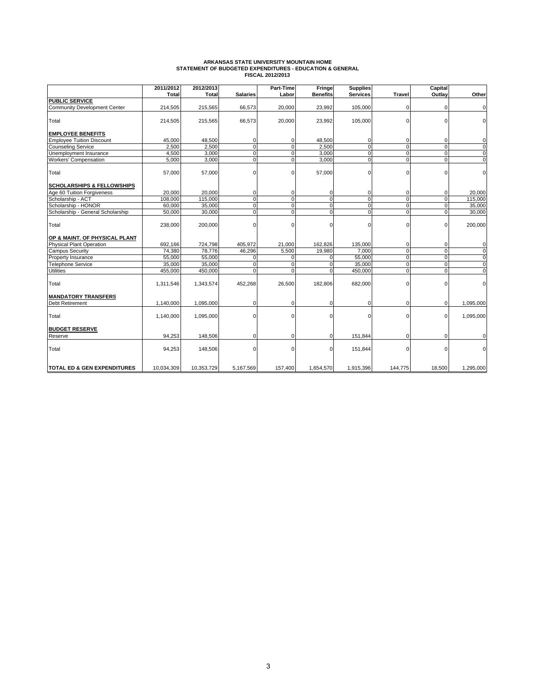# **ARKANSAS STATE UNIVERSITY MOUNTAIN HOME STATEMENT OF BUDGETED EXPENDITURES - EDUCATION & GENERAL FISCAL 2012/2013**

|                                       | 2011/2012    | 2012/2013    |                 | Part-Time      | Fringe          | <b>Supplies</b> |                | <b>Capital</b> |                |
|---------------------------------------|--------------|--------------|-----------------|----------------|-----------------|-----------------|----------------|----------------|----------------|
|                                       | <b>Total</b> | <b>Total</b> | <b>Salaries</b> | Labor          | <b>Benefits</b> | <b>Services</b> | <b>Travel</b>  | Outlay         | Other          |
| <b>PUBLIC SERVICE</b>                 |              |              |                 |                |                 |                 |                |                |                |
| <b>Community Development Center</b>   | 214,505      | 215,565      | 66,573          | 20,000         | 23,992          | 105,000         | $\Omega$       | $\Omega$       | $\mathbf 0$    |
| Total                                 | 214,505      | 215,565      | 66,573          | 20,000         | 23,992          | 105,000         | $\Omega$       | $\Omega$       | $\Omega$       |
| <b>EMPLOYEE BENEFITS</b>              |              |              |                 |                |                 |                 |                |                |                |
| <b>Employee Tuition Discount</b>      | 45,000       | 48,500       | 0               | 0              | 48,500          | 0               | $\Omega$       | $\Omega$       | 0              |
| <b>Counseling Service</b>             | 2,500        | 2,500        | $\overline{0}$  | $\Omega$       | 2,500           | $\overline{0}$  | $\overline{0}$ | $\Omega$       | $\overline{0}$ |
| Unemployment Insurance                | 4,500        | 3,000        | $\overline{0}$  | $\Omega$       | 3,000           | $\mathbf 0$     | $\Omega$       | $\Omega$       | $\overline{0}$ |
| <b>Workers' Compensation</b>          | 5,000        | 3,000        | $\overline{0}$  | $\mathbf 0$    | 3,000           | $\overline{0}$  | $\overline{0}$ | $\mathbf 0$    | $\overline{0}$ |
| Total                                 | 57,000       | 57,000       | 0               | 0              | 57,000          | $\Omega$        | $\Omega$       | $\Omega$       | $\Omega$       |
| <b>SCHOLARSHIPS &amp; FELLOWSHIPS</b> |              |              |                 |                |                 |                 |                |                |                |
| Age 60 Tuition Forgiveness            | 20,000       | 20.000       | 0               | 0              | 0               | 0               | 0              | 0              | 20,000         |
| Scholarship - ACT                     | 108,000      | 115,000      | $\overline{0}$  | $\overline{0}$ | $\overline{0}$  | $\overline{0}$  | $\overline{0}$ | $\overline{0}$ | 115,000        |
| Scholarship - HONOR                   | 60,000       | 35,000       | 0               | $\mathbf 0$    | $\overline{0}$  | $\mathbf 0$     | $\mathbf 0$    | 0              | 35,000         |
| Scholarship - General Scholarship     | 50,000       | 30,000       | $\overline{0}$  | $\overline{0}$ | $\overline{0}$  | $\overline{0}$  | $\overline{0}$ | $\Omega$       | 30,000         |
| Total                                 | 238,000      | 200,000      | $\Omega$        | $\Omega$       | $\mathbf 0$     | $\Omega$        | $\Omega$       | $\mathbf 0$    | 200,000        |
| OP & MAINT. OF PHYSICAL PLANT         |              |              |                 |                |                 |                 |                |                |                |
| Physical Plant Operation              | 692,166      | 724,798      | 405,972         | 21,000         | 162,826         | 135,000         | 0              | $\Omega$       | 0              |
| <b>Campus Security</b>                | 74,380       | 78,776       | 46,296          | 5,500          | 19,980          | 7,000           | $\overline{0}$ | 0              | $\overline{0}$ |
| Property Insurance                    | 55,000       | 55,000       | $\Omega$        | $\Omega$       | $\mathbf 0$     | 55,000          | $\Omega$       | $\Omega$       | $\overline{0}$ |
| Telephone Service                     | 35,000       | 35,000       | 0               | $\Omega$       | $\mathbf 0$     | 35,000          | $\mathbf 0$    | $\mathbf 0$    | $\pmb{0}$      |
| <b>Utilities</b>                      | 455,000      | 450,000      | 0               | 0              | $\mathbf 0$     | 450,000         | $\mathbf 0$    | 0              | $\mathbf 0$    |
| Total                                 | 1,311,546    | 1,343,574    | 452,268         | 26,500         | 182,806         | 682,000         | $\Omega$       | $\Omega$       | $\Omega$       |
| <b>MANDATORY TRANSFERS</b>            |              |              |                 |                |                 |                 |                |                |                |
| <b>Debt Retirement</b>                | 1,140,000    | 1,095,000    | 0               | 0              | 0               | 0               | $\Omega$       | $\mathbf 0$    | 1,095,000      |
| Total                                 | 1,140,000    | 1,095,000    | 0               | 0              | $\mathbf 0$     | $\Omega$        | $\Omega$       | $\mathbf 0$    | 1,095,000      |
| <b>BUDGET RESERVE</b>                 |              |              |                 |                |                 |                 |                |                |                |
| Reserve                               | 94,253       | 148,506      | 0               | $\Omega$       | $\mathbf 0$     | 151,844         | $\Omega$       | $\Omega$       | 0              |
| Total                                 | 94,253       | 148,506      | $\Omega$        | $\Omega$       | $\mathbf{0}$    | 151,844         | $\Omega$       | $\Omega$       | $\Omega$       |
| TOTAL ED & GEN EXPENDITURES           | 10,034,309   | 10,353,729   | 5,167,569       | 157,400        | 1,654,570       | 1,915,396       | 144,775        | 18,500         | 1,295,000      |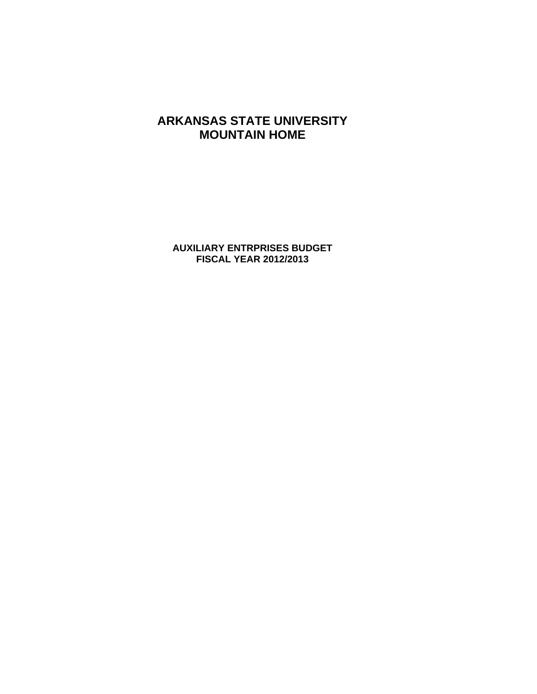**AUXILIARY ENTRPRISES BUDGET FISCAL YEAR 2012/2013**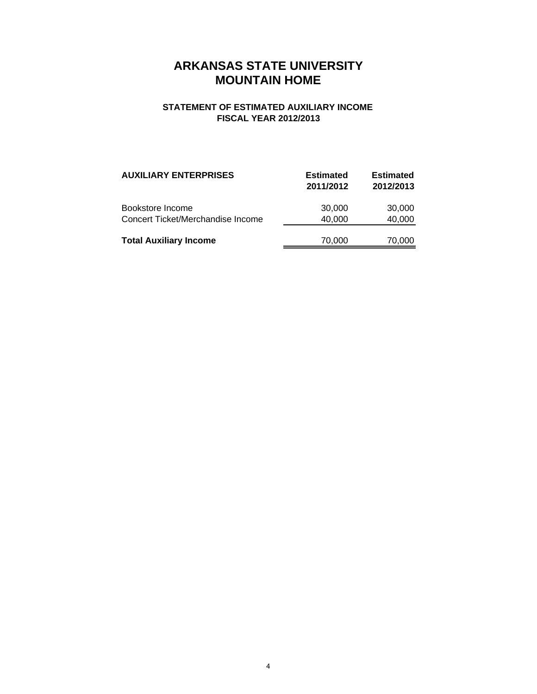#### **STATEMENT OF ESTIMATED AUXILIARY INCOME FISCAL YEAR 2012/2013**

| <b>AUXILIARY ENTERPRISES</b>                          | <b>Estimated</b><br>2011/2012 | <b>Estimated</b><br>2012/2013 |
|-------------------------------------------------------|-------------------------------|-------------------------------|
| Bookstore Income<br>Concert Ticket/Merchandise Income | 30,000<br>40,000              | 30,000<br>40,000              |
| <b>Total Auxiliary Income</b>                         | 70,000                        | 70,000                        |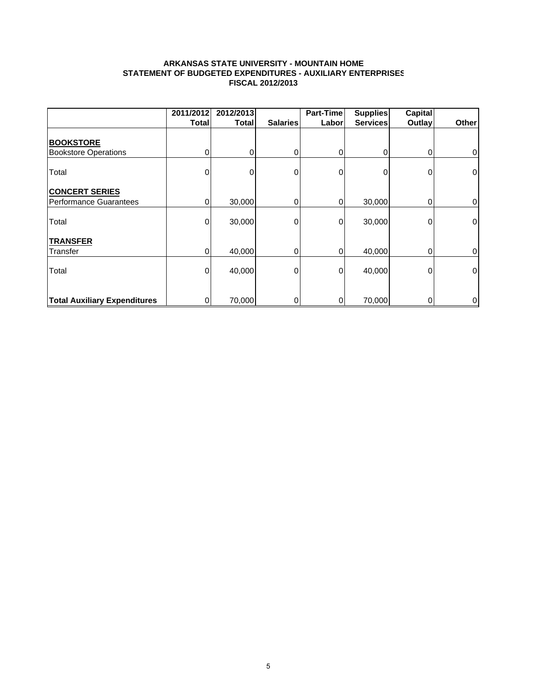#### **ARKANSAS STATE UNIVERSITY - MOUNTAIN HOME STATEMENT OF BUDGETED EXPENDITURES - AUXILIARY ENTERPRISES FISCAL 2012/2013**

|                                                 | 2011/2012    | 2012/2013 |                 | Part-Time | <b>Supplies</b> | <b>Capital</b> |             |
|-------------------------------------------------|--------------|-----------|-----------------|-----------|-----------------|----------------|-------------|
|                                                 | <b>Total</b> | Total     | <b>Salaries</b> | Labor     | <b>Services</b> | Outlay         | Other       |
| <b>BOOKSTORE</b>                                |              |           |                 |           |                 |                |             |
| <b>Bookstore Operations</b>                     | 0            | 0         | 0               | 0         | 0               | 0              | $\mathbf 0$ |
| Total                                           | 0            | U         | 0               | 0         | 0               | 0              | $\mathbf 0$ |
| <b>CONCERT SERIES</b><br>Performance Guarantees | 0            | 30,000    | 0               | 0         | 30,000          | 0              | 0           |
| Total                                           | 0            | 30,000    | 0               | 0         | 30,000          | 0              | $\mathbf 0$ |
| <b>TRANSFER</b>                                 |              |           |                 |           |                 |                |             |
| Transfer                                        | 0            | 40,000    | 0               | 0         | 40,000          | 0              | 0           |
| Total                                           | 0            | 40,000    | 0               | 0         | 40,000          | 0              | $\pmb{0}$   |
| <b>Total Auxiliary Expenditures</b>             | 0            | 70,000    | 0               | 0         | 70,000          | 0              | 0           |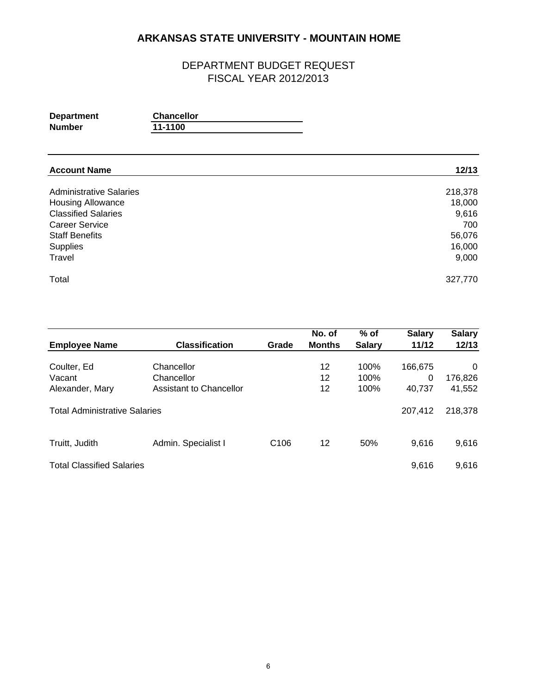| <b>Department</b> | <b>Chancellor</b> |
|-------------------|-------------------|
| Number            | 11-1100           |

| <b>Account Name</b>            | 12/13   |
|--------------------------------|---------|
| <b>Administrative Salaries</b> | 218,378 |
| <b>Housing Allowance</b>       | 18,000  |
| <b>Classified Salaries</b>     | 9,616   |
| <b>Career Service</b>          | 700     |
| <b>Staff Benefits</b>          | 56,076  |
| Supplies                       | 16,000  |
| Travel                         | 9,000   |
| Total                          | 327,770 |

|                                      |                                |                  | No. of        | $%$ of        | <b>Salary</b> | <b>Salary</b> |
|--------------------------------------|--------------------------------|------------------|---------------|---------------|---------------|---------------|
| <b>Employee Name</b>                 | <b>Classification</b>          | Grade            | <b>Months</b> | <b>Salary</b> | 11/12         | 12/13         |
| Coulter, Ed                          | Chancellor                     |                  | 12            | 100%          | 166,675       | $\Omega$      |
| Vacant                               | Chancellor                     |                  | 12            | 100%          | 0             | 176,826       |
| Alexander, Mary                      | <b>Assistant to Chancellor</b> |                  | 12            | 100%          | 40.737        | 41,552        |
| <b>Total Administrative Salaries</b> |                                |                  |               |               | 207,412       | 218,378       |
| Truitt, Judith                       | Admin. Specialist I            | C <sub>106</sub> | 12            | 50%           | 9,616         | 9,616         |
| <b>Total Classified Salaries</b>     |                                |                  |               |               | 9,616         | 9,616         |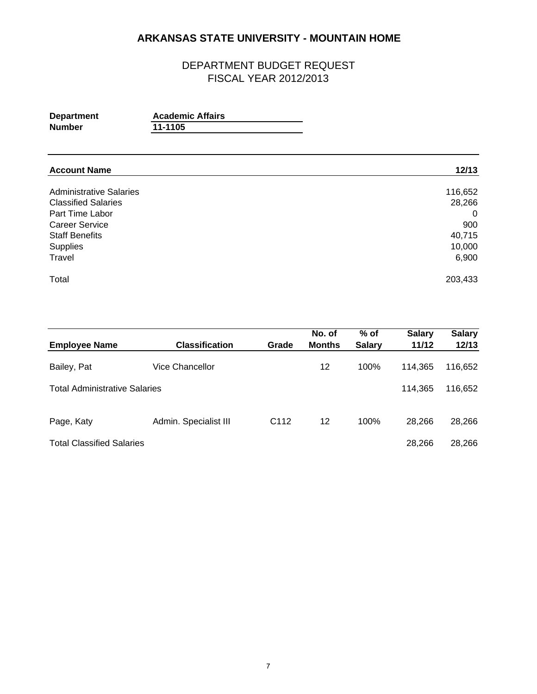| <b>Department</b> | <b>Academic Affairs</b> |
|-------------------|-------------------------|
| <b>Number</b>     | 11-1105                 |

| <b>Account Name</b>            | 12/13   |
|--------------------------------|---------|
| <b>Administrative Salaries</b> | 116,652 |
| <b>Classified Salaries</b>     | 28,266  |
| Part Time Labor                | 0       |
| <b>Career Service</b>          | 900     |
| <b>Staff Benefits</b>          | 40,715  |
| Supplies                       | 10,000  |
| Travel                         | 6,900   |
| Total                          | 203,433 |

| <b>Employee Name</b>                 | <b>Classification</b> | Grade            | No. of<br><b>Months</b> | $%$ of<br><b>Salary</b> | <b>Salary</b><br>11/12 | <b>Salary</b><br>12/13 |
|--------------------------------------|-----------------------|------------------|-------------------------|-------------------------|------------------------|------------------------|
|                                      |                       |                  |                         |                         |                        |                        |
| Bailey, Pat                          | Vice Chancellor       |                  | 12                      | 100%                    | 114.365                | 116,652                |
| <b>Total Administrative Salaries</b> |                       |                  |                         |                         | 114.365                | 116,652                |
| Page, Katy                           | Admin. Specialist III | C <sub>112</sub> | 12                      | 100%                    | 28.266                 | 28,266                 |
| <b>Total Classified Salaries</b>     |                       |                  |                         |                         | 28.266                 | 28,266                 |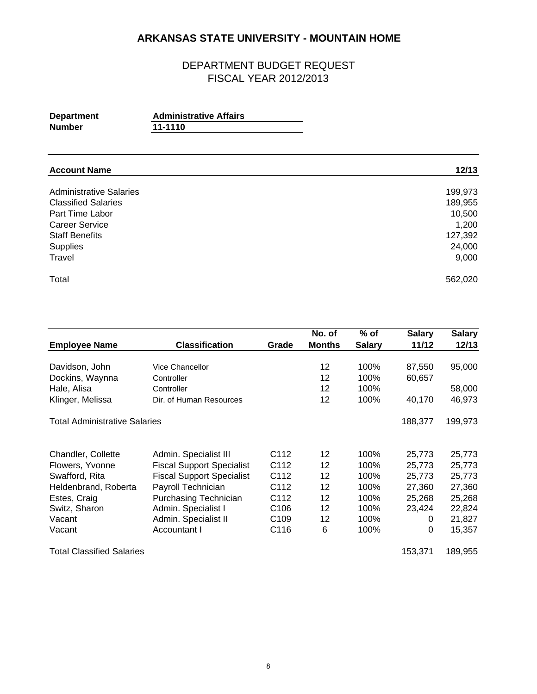| <b>Department</b> | <b>Administrative Affairs</b> |  |
|-------------------|-------------------------------|--|
| <b>Number</b>     | 11-1110                       |  |

| <b>Account Name</b>            | 12/13   |
|--------------------------------|---------|
| <b>Administrative Salaries</b> | 199,973 |
| <b>Classified Salaries</b>     | 189,955 |
| Part Time Labor                | 10,500  |
| <b>Career Service</b>          | 1,200   |
| <b>Staff Benefits</b>          | 127,392 |
| Supplies                       | 24,000  |
| Travel                         | 9,000   |
| Total                          | 562,020 |

|                                      |                                  |                  | No. of        | $%$ of        | <b>Salary</b> | <b>Salary</b> |
|--------------------------------------|----------------------------------|------------------|---------------|---------------|---------------|---------------|
| <b>Employee Name</b>                 | <b>Classification</b>            | Grade            | <b>Months</b> | <b>Salary</b> | 11/12         | 12/13         |
|                                      |                                  |                  |               |               |               |               |
| Davidson, John                       | <b>Vice Chancellor</b>           |                  | 12            | 100%          | 87,550        | 95,000        |
| Dockins, Waynna                      | Controller                       |                  | 12            | 100%          | 60,657        |               |
| Hale, Alisa                          | Controller                       |                  | 12            | 100%          |               | 58,000        |
| Klinger, Melissa                     | Dir. of Human Resources          |                  | 12            | 100%          | 40,170        | 46,973        |
| <b>Total Administrative Salaries</b> |                                  |                  |               |               | 188,377       | 199,973       |
| Chandler, Collette                   | Admin. Specialist III            | C112             | 12            | 100%          | 25,773        | 25,773        |
| Flowers, Yvonne                      | <b>Fiscal Support Specialist</b> | C112             | 12            | 100%          | 25,773        | 25,773        |
| Swafford, Rita                       | <b>Fiscal Support Specialist</b> | C <sub>112</sub> | 12            | 100%          | 25,773        | 25,773        |
| Heldenbrand, Roberta                 | Payroll Technician               | C <sub>112</sub> | 12            | 100%          | 27,360        | 27,360        |
| Estes, Craig                         | <b>Purchasing Technician</b>     | C112             | 12            | 100%          | 25,268        | 25,268        |
| Switz, Sharon                        | Admin. Specialist I              | C <sub>106</sub> | 12            | 100%          | 23,424        | 22,824        |
| Vacant                               | Admin. Specialist II             | C <sub>109</sub> | 12            | 100%          | 0             | 21,827        |
| Vacant                               | Accountant I                     | C116             | 6             | 100%          | 0             | 15,357        |
| <b>Total Classified Salaries</b>     |                                  |                  |               |               | 153,371       | 189,955       |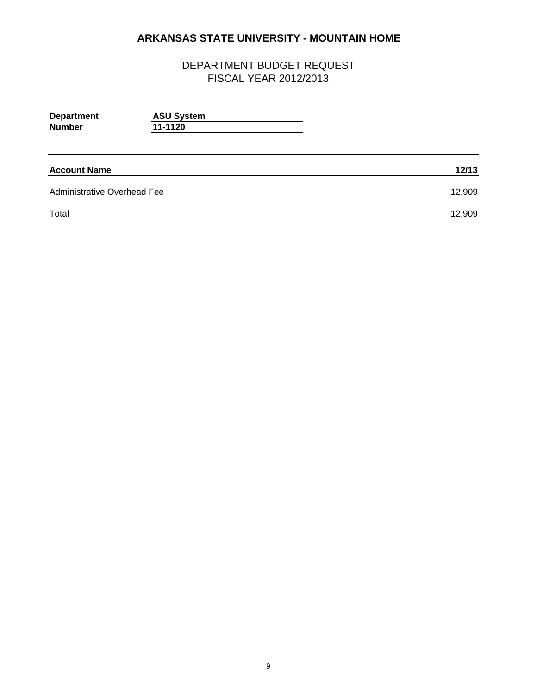| <b>Department</b><br><b>Number</b> | <b>ASU System</b><br>11-1120 |        |
|------------------------------------|------------------------------|--------|
| <b>Account Name</b>                |                              | 12/13  |
| <b>Administrative Overhead Fee</b> |                              | 12,909 |
| Total                              |                              | 12,909 |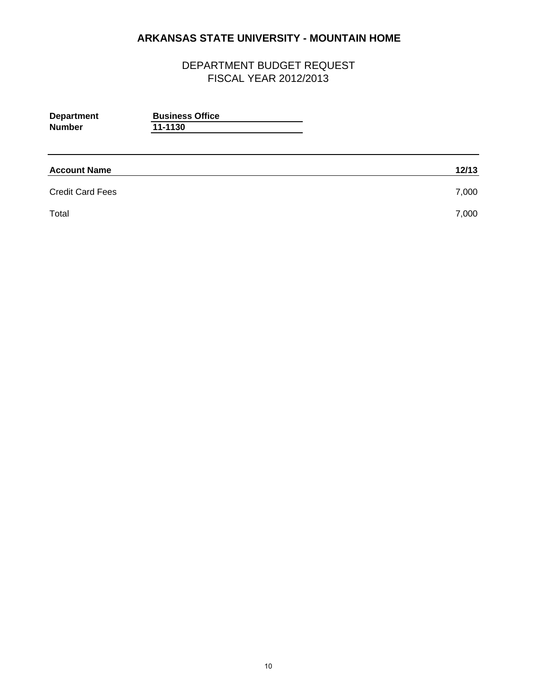| <b>Business Office</b><br>11-1130 |       |
|-----------------------------------|-------|
|                                   | 12/13 |
|                                   | 7,000 |
|                                   | 7,000 |
|                                   |       |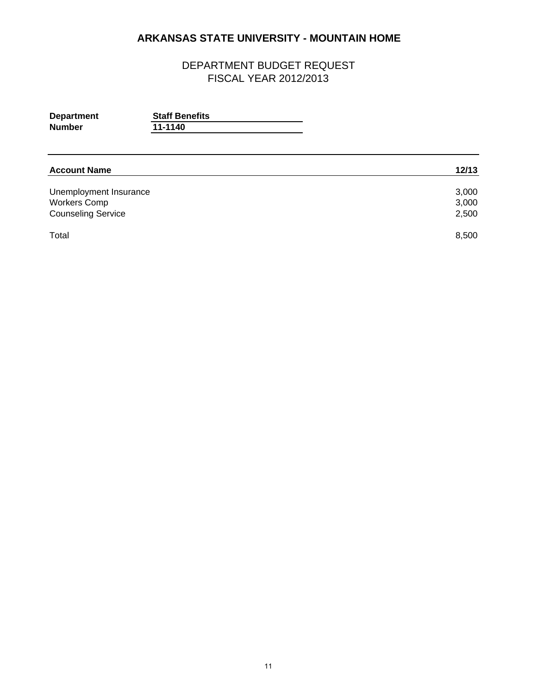| <b>Department</b> | <b>Staff Benefits</b> |  |
|-------------------|-----------------------|--|
| <b>Number</b>     | 11-1140               |  |
|                   |                       |  |
|                   |                       |  |

| <b>Account Name</b>       | 12/13 |
|---------------------------|-------|
| Unemployment Insurance    | 3,000 |
| <b>Workers Comp</b>       | 3,000 |
| <b>Counseling Service</b> | 2,500 |
| Total                     | 8,500 |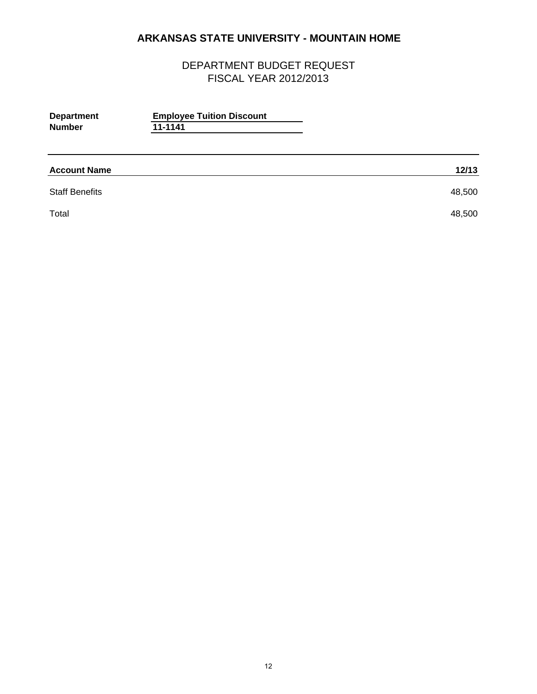| <b>Department</b><br><b>Number</b> | <b>Employee Tuition Discount</b><br>11-1141 |        |
|------------------------------------|---------------------------------------------|--------|
| <b>Account Name</b>                |                                             | 12/13  |
| <b>Staff Benefits</b>              |                                             | 48,500 |
| Total                              |                                             | 48,500 |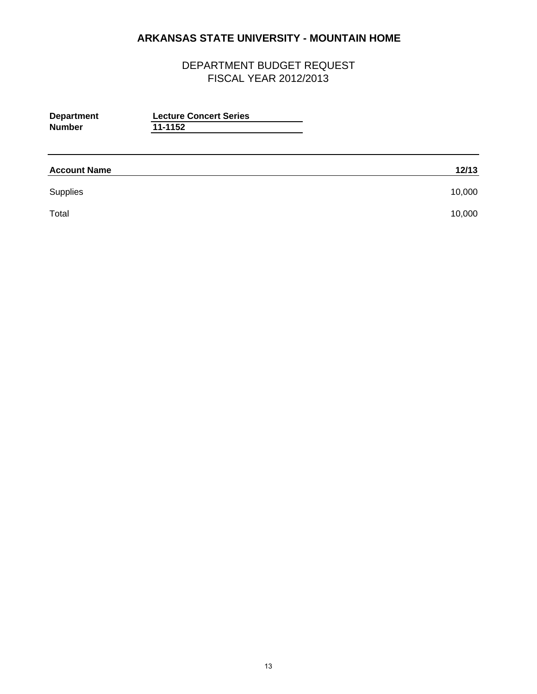| <b>Department</b><br><b>Number</b> | <b>Lecture Concert Series</b><br>11-1152 |        |
|------------------------------------|------------------------------------------|--------|
| <b>Account Name</b>                |                                          | 12/13  |
| Supplies                           |                                          | 10,000 |
| Total                              |                                          | 10,000 |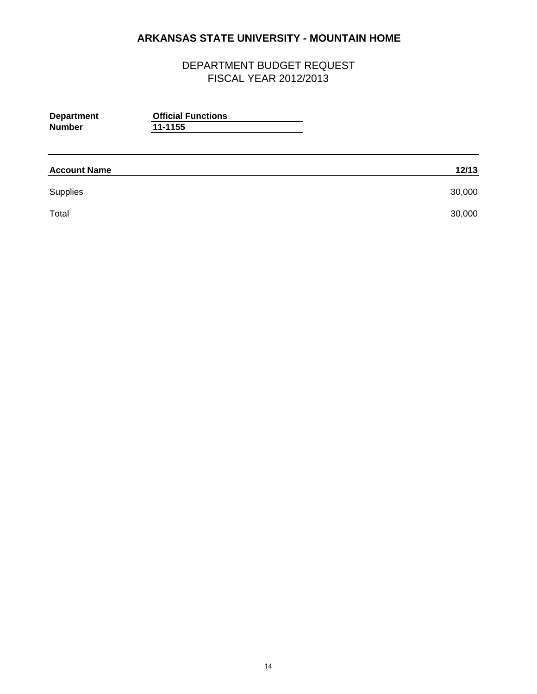| <b>Department</b><br><b>Number</b> | <b>Official Functions</b><br>11-1155 |        |
|------------------------------------|--------------------------------------|--------|
| <b>Account Name</b>                |                                      | 12/13  |
| Supplies                           |                                      | 30,000 |
| Total                              |                                      | 30,000 |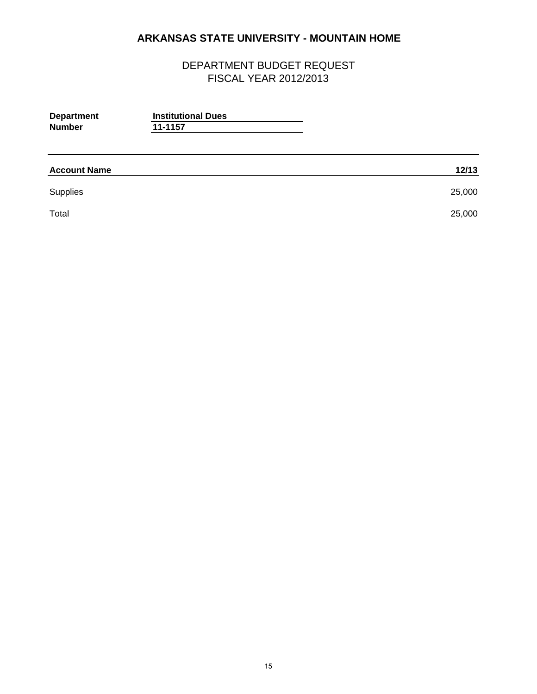| <b>Department</b><br><b>Number</b> | <b>Institutional Dues</b><br>11-1157 |        |
|------------------------------------|--------------------------------------|--------|
| <b>Account Name</b>                |                                      | 12/13  |
| Supplies                           |                                      | 25,000 |
| Total                              |                                      | 25,000 |
|                                    |                                      |        |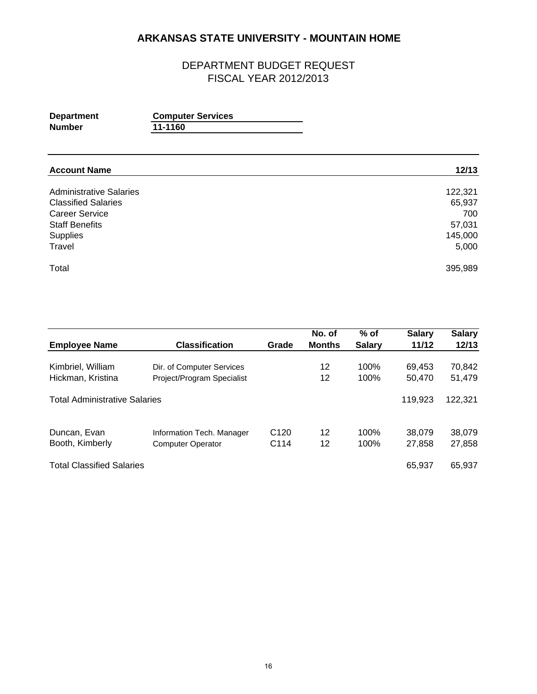| <b>Department</b> | <b>Computer Services</b> |  |
|-------------------|--------------------------|--|
| Number            | 11-1160                  |  |
|                   |                          |  |

| <b>Account Name</b>            | 12/13   |
|--------------------------------|---------|
| <b>Administrative Salaries</b> | 122,321 |
| <b>Classified Salaries</b>     | 65,937  |
| <b>Career Service</b>          | 700     |
| <b>Staff Benefits</b>          | 57,031  |
| Supplies                       | 145,000 |
| Travel                         | 5,000   |
| Total                          | 395,989 |

|                                      | <b>Classification</b>      | Grade            | No. of<br><b>Months</b> | % of          | <b>Salary</b><br>11/12 | <b>Salary</b><br>12/13 |
|--------------------------------------|----------------------------|------------------|-------------------------|---------------|------------------------|------------------------|
| <b>Employee Name</b>                 |                            |                  |                         | <b>Salary</b> |                        |                        |
| Kimbriel, William                    | Dir. of Computer Services  |                  | 12                      | 100%          | 69.453                 | 70,842                 |
| Hickman, Kristina                    | Project/Program Specialist |                  | 12                      | 100%          | 50,470                 | 51,479                 |
| <b>Total Administrative Salaries</b> |                            |                  |                         |               | 119,923                | 122,321                |
| Duncan, Evan                         | Information Tech. Manager  | C <sub>120</sub> | 12                      | 100%          | 38,079                 | 38,079                 |
| Booth, Kimberly                      | <b>Computer Operator</b>   | C <sub>114</sub> | 12                      | 100%          | 27.858                 | 27,858                 |
| <b>Total Classified Salaries</b>     |                            |                  |                         |               | 65.937                 | 65,937                 |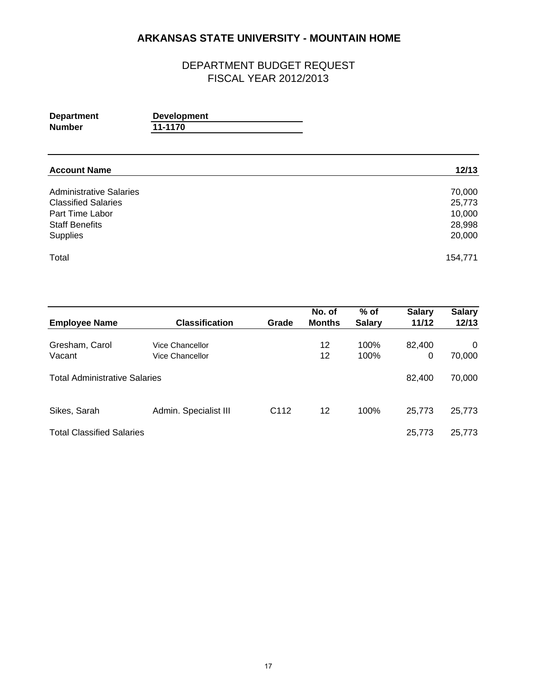| <b>Department</b> | <b>Development</b> |
|-------------------|--------------------|
| <b>Number</b>     | 11-1170            |

| <b>Account Name</b>            | 12/13   |
|--------------------------------|---------|
| <b>Administrative Salaries</b> | 70,000  |
| <b>Classified Salaries</b>     | 25,773  |
| Part Time Labor                | 10,000  |
| <b>Staff Benefits</b>          | 28,998  |
| <b>Supplies</b>                | 20,000  |
| Total                          | 154,771 |

| <b>Employee Name</b>                 | <b>Classification</b>              | Grade            | No. of<br><b>Months</b> | $%$ of<br><b>Salary</b> | <b>Salary</b><br>11/12 | <b>Salary</b><br>12/13 |
|--------------------------------------|------------------------------------|------------------|-------------------------|-------------------------|------------------------|------------------------|
| Gresham, Carol<br>Vacant             | Vice Chancellor<br>Vice Chancellor |                  | 12<br>12                | 100%<br>100%            | 82.400<br>0            | $\Omega$<br>70,000     |
| <b>Total Administrative Salaries</b> |                                    |                  |                         |                         | 82.400                 | 70,000                 |
| Sikes, Sarah                         | Admin. Specialist III              | C <sub>112</sub> | 12                      | 100%                    | 25,773                 | 25,773                 |
| <b>Total Classified Salaries</b>     |                                    |                  |                         |                         | 25.773                 | 25,773                 |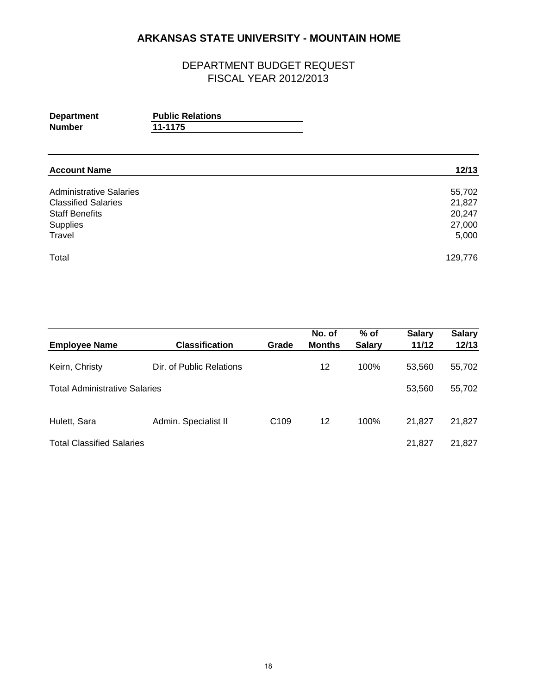| <b>Department</b> | <b>Public Relations</b> |
|-------------------|-------------------------|
| <b>Number</b>     | 11-1175                 |

| <b>Account Name</b>            | 12/13   |
|--------------------------------|---------|
| <b>Administrative Salaries</b> | 55,702  |
| <b>Classified Salaries</b>     | 21,827  |
| <b>Staff Benefits</b>          | 20,247  |
| Supplies                       | 27,000  |
| Travel                         | 5,000   |
| Total                          | 129,776 |

|                                      |                          |                  | No. of        | $%$ of        | <b>Salary</b> | <b>Salary</b> |
|--------------------------------------|--------------------------|------------------|---------------|---------------|---------------|---------------|
| <b>Employee Name</b>                 | <b>Classification</b>    | Grade            | <b>Months</b> | <b>Salary</b> | 11/12         | 12/13         |
| Keirn, Christy                       | Dir. of Public Relations |                  | 12            | 100%          | 53.560        | 55,702        |
| <b>Total Administrative Salaries</b> |                          |                  |               |               | 53,560        | 55,702        |
| Hulett, Sara                         | Admin. Specialist II     | C <sub>109</sub> | 12            | 100%          | 21.827        | 21,827        |
| <b>Total Classified Salaries</b>     |                          |                  |               |               | 21.827        | 21,827        |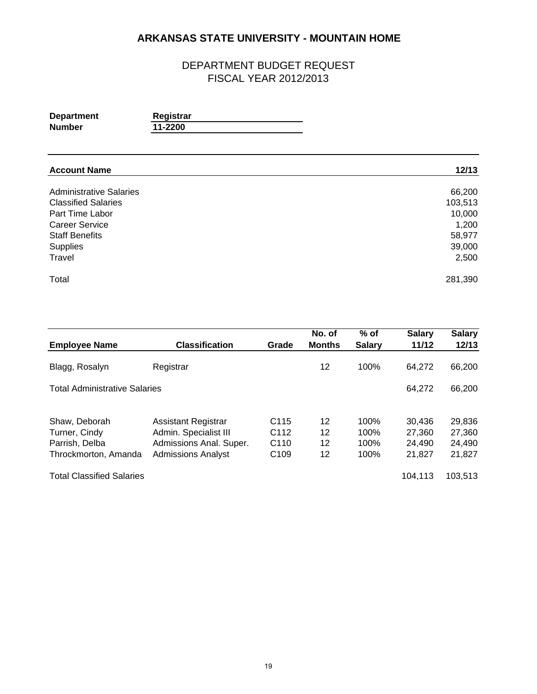| <b>Department</b> | Registrar |
|-------------------|-----------|
| <b>Number</b>     | 11-2200   |

| <b>Account Name</b>            | 12/13   |
|--------------------------------|---------|
| <b>Administrative Salaries</b> | 66,200  |
| <b>Classified Salaries</b>     | 103,513 |
| Part Time Labor                | 10,000  |
| <b>Career Service</b>          | 1,200   |
| <b>Staff Benefits</b>          | 58,977  |
| Supplies                       | 39,000  |
| Travel                         | 2,500   |
| Total                          | 281,390 |

|                                      |                           |                  | No. of        | $%$ of        | <b>Salary</b> | <b>Salary</b> |
|--------------------------------------|---------------------------|------------------|---------------|---------------|---------------|---------------|
| <b>Employee Name</b>                 | <b>Classification</b>     | Grade            | <b>Months</b> | <b>Salary</b> | 11/12         | 12/13         |
| Blagg, Rosalyn                       | Registrar                 |                  | 12            | 100%          | 64,272        | 66,200        |
| <b>Total Administrative Salaries</b> |                           |                  |               |               | 64,272        | 66,200        |
|                                      |                           |                  |               |               |               |               |
| Shaw, Deborah                        | Assistant Registrar       | C <sub>115</sub> | 12            | 100%          | 30,436        | 29,836        |
| Turner, Cindy                        | Admin. Specialist III     | C <sub>112</sub> | 12            | 100%          | 27.360        | 27,360        |
| Parrish, Delba                       | Admissions Anal. Super.   | C <sub>110</sub> | 12            | 100%          | 24,490        | 24,490        |
| Throckmorton, Amanda                 | <b>Admissions Analyst</b> | C <sub>109</sub> | 12            | 100%          | 21,827        | 21,827        |
| <b>Total Classified Salaries</b>     |                           |                  |               |               | 104.113       | 103,513       |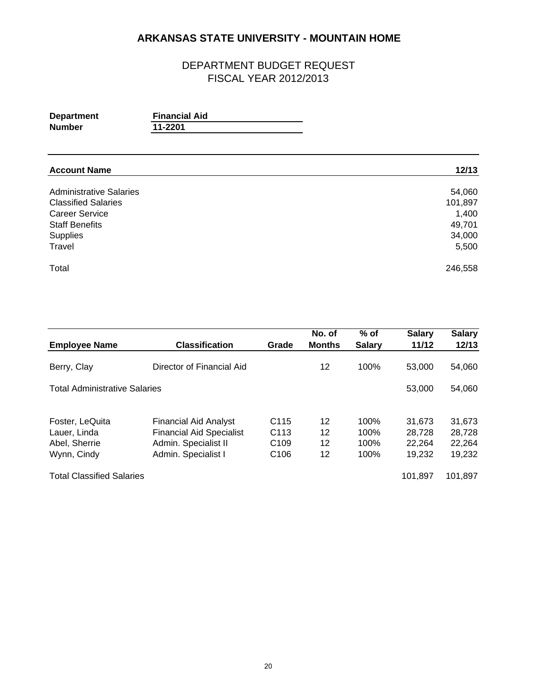| <b>Department</b> | <b>Financial Aid</b> |  |
|-------------------|----------------------|--|
| Number            | 11-2201              |  |

| <b>Account Name</b>            | 12/13   |
|--------------------------------|---------|
| <b>Administrative Salaries</b> | 54,060  |
| <b>Classified Salaries</b>     | 101,897 |
| <b>Career Service</b>          | 1,400   |
| <b>Staff Benefits</b>          | 49,701  |
| Supplies                       | 34,000  |
| Travel                         | 5,500   |
| Total                          | 246,558 |

| <b>Employee Name</b>                 | <b>Classification</b>                                           | Grade            | No. of<br><b>Months</b> | $%$ of<br><b>Salary</b> | <b>Salary</b><br>11/12 | <b>Salary</b><br>12/13 |
|--------------------------------------|-----------------------------------------------------------------|------------------|-------------------------|-------------------------|------------------------|------------------------|
| Berry, Clay                          | Director of Financial Aid                                       |                  | 12                      | 100%                    | 53,000                 | 54,060                 |
| <b>Total Administrative Salaries</b> |                                                                 |                  |                         |                         | 53,000                 | 54,060                 |
|                                      |                                                                 | C <sub>115</sub> | 12                      | 100%                    |                        | 31,673                 |
| Foster, LeQuita<br>Lauer, Linda      | <b>Financial Aid Analyst</b><br><b>Financial Aid Specialist</b> | C <sub>113</sub> | 12                      | 100%                    | 31,673<br>28.728       | 28,728                 |
| Abel, Sherrie                        | Admin. Specialist II                                            | C <sub>109</sub> | 12                      | 100%                    | 22,264                 | 22,264                 |
| Wynn, Cindy                          | Admin. Specialist I                                             | C <sub>106</sub> | 12                      | 100%                    | 19,232                 | 19,232                 |
| <b>Total Classified Salaries</b>     |                                                                 |                  |                         |                         | 101.897                | 101.897                |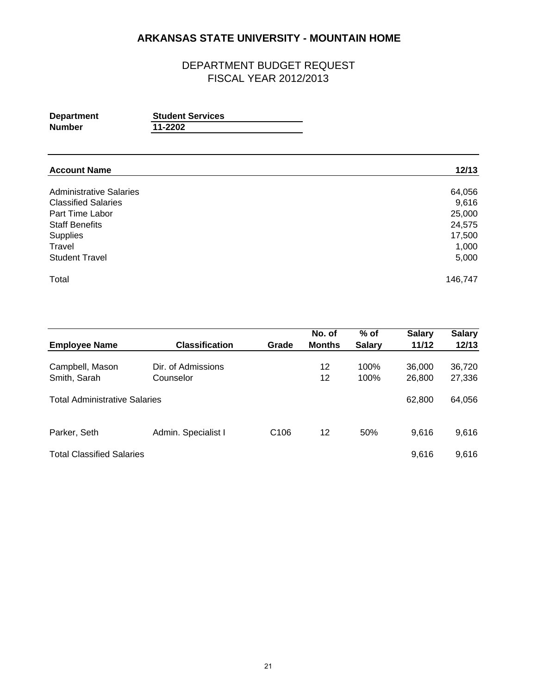| <b>Department</b> | <b>Student Services</b> |
|-------------------|-------------------------|
| Number            | 11-2202                 |

| <b>Account Name</b>            | 12/13   |
|--------------------------------|---------|
| <b>Administrative Salaries</b> | 64,056  |
| <b>Classified Salaries</b>     | 9,616   |
| Part Time Labor                | 25,000  |
| <b>Staff Benefits</b>          | 24,575  |
| Supplies                       | 17,500  |
| Travel                         | 1,000   |
| <b>Student Travel</b>          | 5,000   |
| Total                          | 146,747 |

| <b>Employee Name</b>                 | <b>Classification</b>           | Grade            | No. of<br><b>Months</b> | $%$ of<br><b>Salary</b> | <b>Salary</b><br>11/12 | <b>Salary</b><br>12/13 |
|--------------------------------------|---------------------------------|------------------|-------------------------|-------------------------|------------------------|------------------------|
| Campbell, Mason<br>Smith, Sarah      | Dir. of Admissions<br>Counselor |                  | 12<br>12                | 100%<br>100%            | 36,000<br>26,800       | 36,720<br>27,336       |
| <b>Total Administrative Salaries</b> |                                 |                  |                         |                         | 62,800                 | 64,056                 |
| Parker, Seth                         | Admin. Specialist I             | C <sub>106</sub> | 12                      | 50%                     | 9.616                  | 9,616                  |
| <b>Total Classified Salaries</b>     |                                 |                  |                         |                         | 9.616                  | 9,616                  |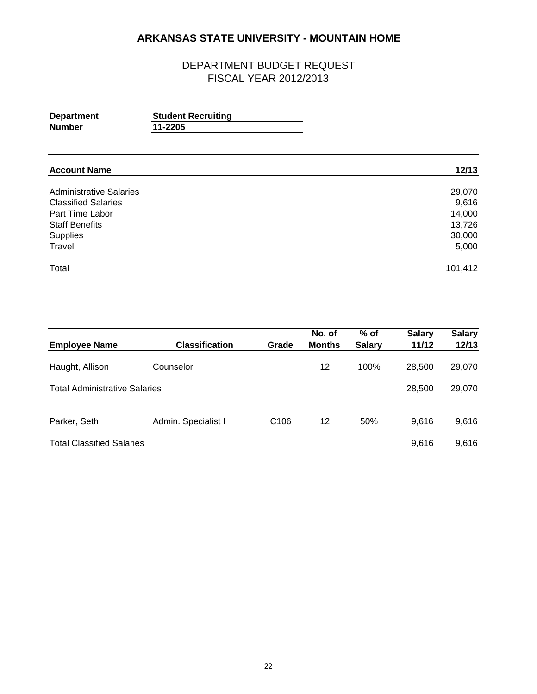| <b>Department</b> | <b>Student Recruiting</b> |
|-------------------|---------------------------|
| <b>Number</b>     | 11-2205                   |

| <b>Account Name</b>            | 12/13   |
|--------------------------------|---------|
| <b>Administrative Salaries</b> | 29,070  |
| <b>Classified Salaries</b>     | 9,616   |
| Part Time Labor                | 14,000  |
| <b>Staff Benefits</b>          | 13,726  |
| Supplies                       | 30,000  |
| Travel                         | 5,000   |
| Total                          | 101,412 |

| <b>Employee Name</b>                 | <b>Classification</b> | Grade            | No. of<br><b>Months</b> | $%$ of<br><b>Salary</b> | <b>Salary</b><br>11/12 | <b>Salary</b><br>12/13 |
|--------------------------------------|-----------------------|------------------|-------------------------|-------------------------|------------------------|------------------------|
| Haught, Allison                      | Counselor             |                  | 12                      | 100%                    | 28,500                 | 29,070                 |
| <b>Total Administrative Salaries</b> |                       |                  |                         |                         | 28,500                 | 29,070                 |
| Parker, Seth                         | Admin. Specialist I   | C <sub>106</sub> | 12                      | 50%                     | 9.616                  | 9,616                  |
| <b>Total Classified Salaries</b>     |                       |                  |                         |                         | 9,616                  | 9,616                  |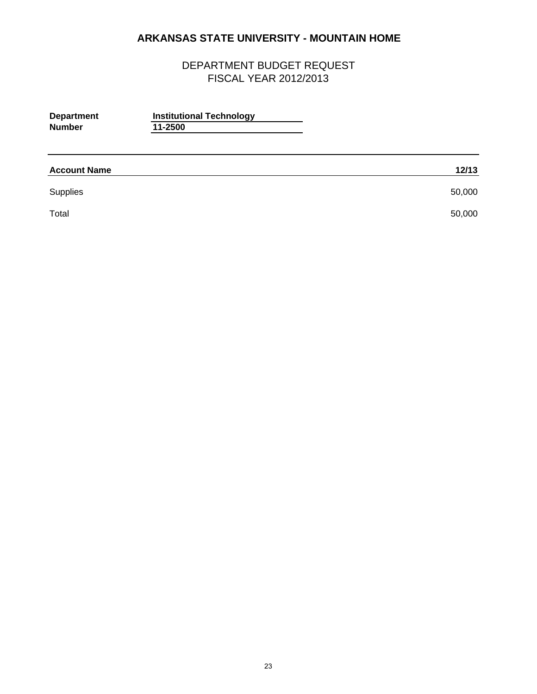| <b>Department</b><br><b>Number</b> | <b>Institutional Technology</b><br>11-2500 |        |
|------------------------------------|--------------------------------------------|--------|
| <b>Account Name</b>                |                                            | 12/13  |
| Supplies                           |                                            | 50,000 |
| Total                              |                                            | 50,000 |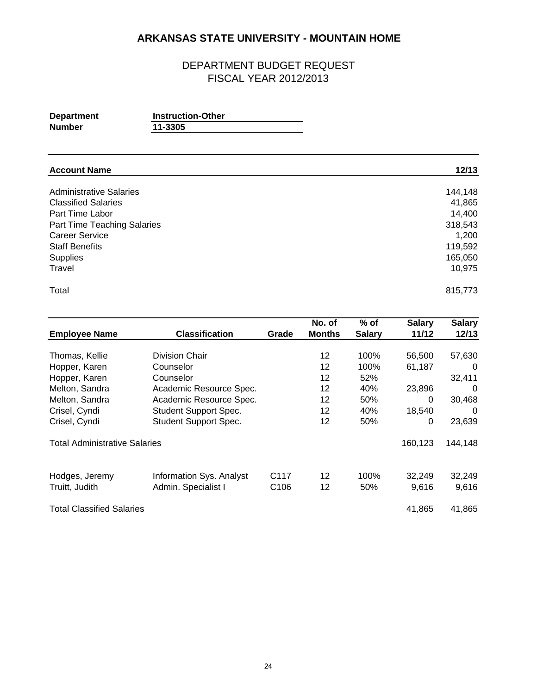| <b>Department</b> | <b>Instruction-Other</b> |
|-------------------|--------------------------|
| Number            | 11-3305                  |

| <b>Account Name</b>            | 12/13   |
|--------------------------------|---------|
| <b>Administrative Salaries</b> | 144,148 |
| <b>Classified Salaries</b>     | 41,865  |
| Part Time Labor                | 14,400  |
| Part Time Teaching Salaries    | 318,543 |
| <b>Career Service</b>          | 1,200   |
| <b>Staff Benefits</b>          | 119,592 |
| Supplies                       | 165,050 |
| Travel                         | 10,975  |
| Total                          | 815,773 |

|                                      |                              |                  | No. of        | % of          | <b>Salary</b> | <b>Salary</b> |
|--------------------------------------|------------------------------|------------------|---------------|---------------|---------------|---------------|
| <b>Employee Name</b>                 | <b>Classification</b>        | Grade            | <b>Months</b> | <b>Salary</b> | 11/12         | 12/13         |
|                                      |                              |                  |               |               |               |               |
| Thomas, Kellie                       | Division Chair               |                  | 12            | 100%          | 56,500        | 57,630        |
| Hopper, Karen                        | Counselor                    |                  | 12            | 100%          | 61,187        | $\Omega$      |
| Hopper, Karen                        | Counselor                    |                  | 12            | 52%           |               | 32,411        |
| Melton, Sandra                       | Academic Resource Spec.      |                  | 12            | 40%           | 23,896        | $\Omega$      |
| Melton, Sandra                       | Academic Resource Spec.      |                  | 12            | 50%           | 0             | 30,468        |
| Crisel, Cyndi                        | <b>Student Support Spec.</b> |                  | 12            | 40%           | 18,540        | $\Omega$      |
| Crisel, Cyndi                        | <b>Student Support Spec.</b> |                  | 12            | 50%           | 0             | 23,639        |
| <b>Total Administrative Salaries</b> |                              |                  |               |               | 160,123       | 144,148       |
| Hodges, Jeremy                       | Information Sys. Analyst     | C117             | 12            | 100%          | 32,249        | 32,249        |
| Truitt, Judith                       | Admin. Specialist I          | C <sub>106</sub> | 12            | 50%           | 9,616         | 9,616         |
| <b>Total Classified Salaries</b>     |                              |                  |               |               | 41.865        | 41.865        |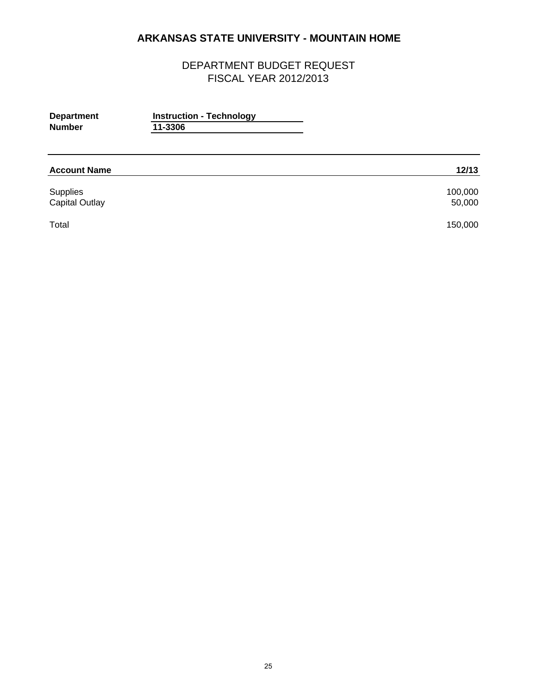| <b>Department</b><br><b>Number</b> | <b>Instruction - Technology</b><br>11-3306 |                   |
|------------------------------------|--------------------------------------------|-------------------|
| <b>Account Name</b>                |                                            | 12/13             |
| Supplies<br><b>Capital Outlay</b>  |                                            | 100,000<br>50,000 |
| Total                              |                                            | 150,000           |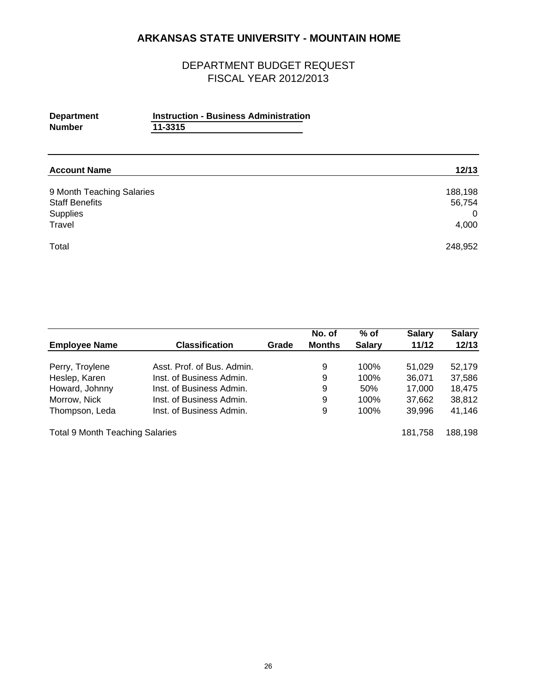| <b>Department</b> | <b>Instruction - Business Administration</b> |  |
|-------------------|----------------------------------------------|--|
| <b>Number</b>     | 11-3315                                      |  |
|                   |                                              |  |

| <b>Account Name</b>       | 12/13    |
|---------------------------|----------|
| 9 Month Teaching Salaries | 188,198  |
| <b>Staff Benefits</b>     | 56,754   |
| Supplies                  | $\Omega$ |
| Travel                    | 4,000    |
| Total                     | 248,952  |

|                                        |                            |       | No. of        | $%$ of        | <b>Salary</b> | <b>Salary</b> |
|----------------------------------------|----------------------------|-------|---------------|---------------|---------------|---------------|
| <b>Employee Name</b>                   | <b>Classification</b>      | Grade | <b>Months</b> | <b>Salary</b> | 11/12         | 12/13         |
| Perry, Troylene                        | Asst. Prof. of Bus. Admin. |       | 9             | 100%          | 51,029        | 52,179        |
| Heslep, Karen                          | Inst. of Business Admin.   |       | 9             | 100%          | 36,071        | 37,586        |
| Howard, Johnny                         | Inst. of Business Admin.   |       | 9             | 50%           | 17.000        | 18.475        |
| Morrow, Nick                           | Inst. of Business Admin.   |       | 9             | 100%          | 37,662        | 38,812        |
| Thompson, Leda                         | Inst. of Business Admin.   |       | 9             | 100%          | 39.996        | 41,146        |
| <b>Total 9 Month Teaching Salaries</b> |                            |       |               |               | 181.758       | 188,198       |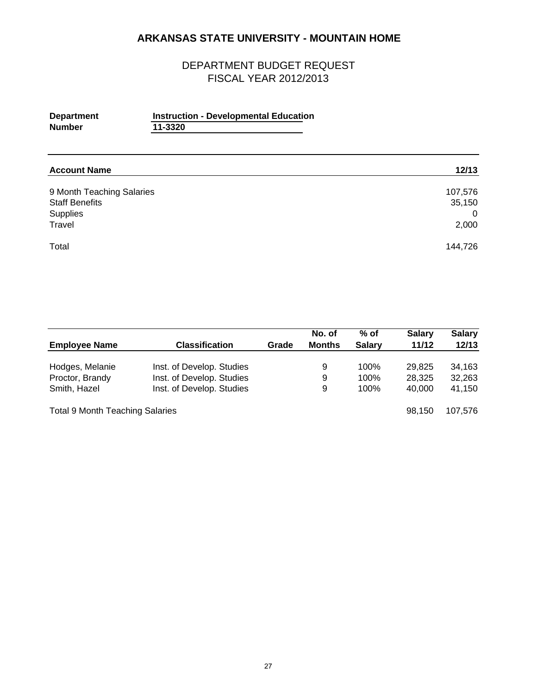## DEPARTMENT BUDGET REQUEST FISCAL YEAR 2012/2013

| <b>Department</b><br><b>Number</b>                 | <b>Instruction - Developmental Education</b><br>11-3320 |                   |
|----------------------------------------------------|---------------------------------------------------------|-------------------|
| <b>Account Name</b>                                |                                                         | 12/13             |
| 9 Month Teaching Salaries<br><b>Staff Benefits</b> |                                                         | 107,576<br>35,150 |

Supplies 0 Travel 2,000

Total 144,726

|                                        |                           |       | No. of        | $%$ of        | <b>Salary</b> | <b>Salary</b> |
|----------------------------------------|---------------------------|-------|---------------|---------------|---------------|---------------|
| <b>Employee Name</b>                   | <b>Classification</b>     | Grade | <b>Months</b> | <b>Salary</b> | 11/12         | 12/13         |
| Hodges, Melanie                        | Inst. of Develop. Studies |       | 9             | 100%          | 29.825        | 34,163        |
| Proctor, Brandy                        | Inst. of Develop. Studies |       | 9             | 100%          | 28,325        | 32,263        |
| Smith, Hazel                           | Inst. of Develop. Studies |       | 9             | 100%          | 40,000        | 41,150        |
| <b>Total 9 Month Teaching Salaries</b> |                           |       |               |               | 98.150        | 107.576       |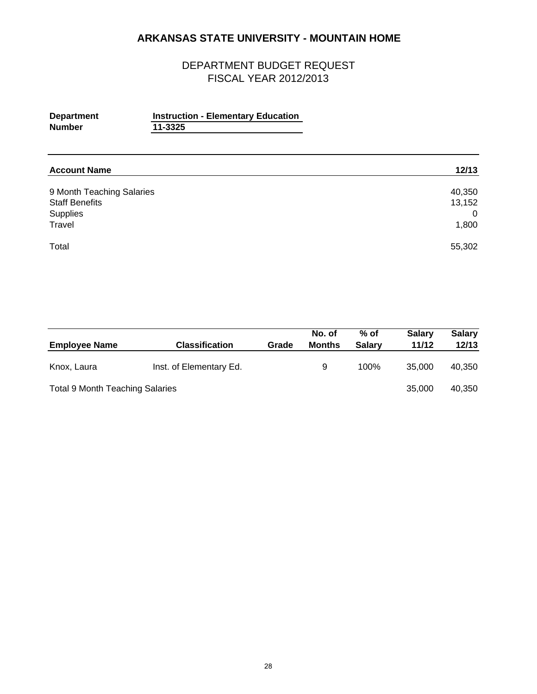| <b>Department</b><br><b>Number</b>                                       | <b>Instruction - Elementary Education</b><br>11-3325 |                                |
|--------------------------------------------------------------------------|------------------------------------------------------|--------------------------------|
| <b>Account Name</b>                                                      |                                                      | 12/13                          |
| 9 Month Teaching Salaries<br><b>Staff Benefits</b><br>Supplies<br>Travel |                                                      | 40,350<br>13,152<br>0<br>1,800 |
| Total                                                                    |                                                      | 55,302                         |

| <b>Employee Name</b>                   | <b>Classification</b>   | Grade | No. of<br><b>Months</b> | $%$ of<br><b>Salary</b> | <b>Salary</b><br>11/12 | <b>Salary</b><br>12/13 |
|----------------------------------------|-------------------------|-------|-------------------------|-------------------------|------------------------|------------------------|
| Knox, Laura                            | Inst. of Elementary Ed. |       | 9                       | 100%                    | 35,000                 | 40,350                 |
| <b>Total 9 Month Teaching Salaries</b> |                         |       |                         |                         | 35,000                 | 40,350                 |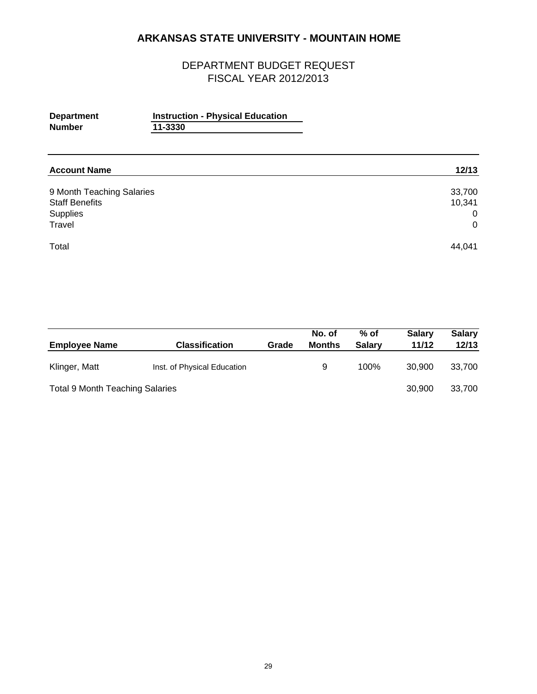| <b>Department</b><br><b>Number</b>                                       | <b>Instruction - Physical Education</b><br>11-3330 |                                      |
|--------------------------------------------------------------------------|----------------------------------------------------|--------------------------------------|
| <b>Account Name</b>                                                      |                                                    | 12/13                                |
| 9 Month Teaching Salaries<br><b>Staff Benefits</b><br>Supplies<br>Travel |                                                    | 33,700<br>10,341<br>0<br>$\mathbf 0$ |
| Total                                                                    |                                                    | 44,041                               |

| <b>Employee Name</b>                   | <b>Classification</b>       | Grade | No. of<br><b>Months</b> | $%$ of<br><b>Salary</b> | <b>Salary</b><br>11/12 | <b>Salary</b><br>12/13 |
|----------------------------------------|-----------------------------|-------|-------------------------|-------------------------|------------------------|------------------------|
| Klinger, Matt                          | Inst. of Physical Education |       | 9                       | 100%                    | 30.900                 | 33.700                 |
| <b>Total 9 Month Teaching Salaries</b> |                             |       |                         |                         | 30,900                 | 33,700                 |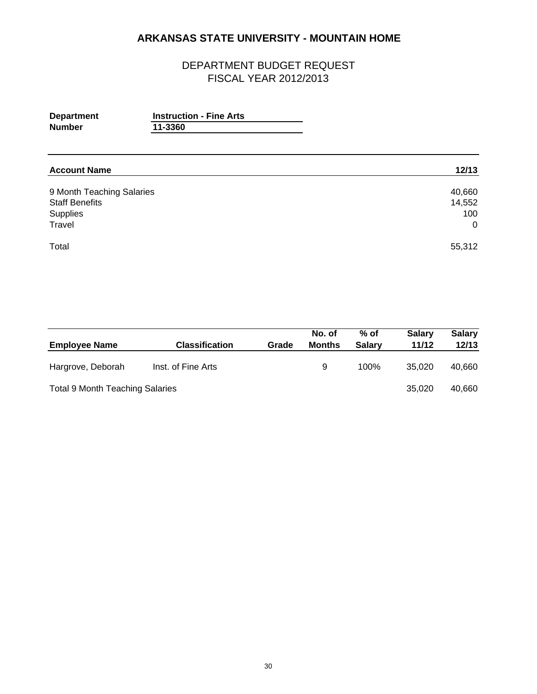| <b>Department</b><br><b>Number</b>                                       | <b>Instruction - Fine Arts</b><br>11-3360 |                                           |
|--------------------------------------------------------------------------|-------------------------------------------|-------------------------------------------|
| <b>Account Name</b>                                                      |                                           | 12/13                                     |
| 9 Month Teaching Salaries<br><b>Staff Benefits</b><br>Supplies<br>Travel |                                           | 40,660<br>14,552<br>100<br>$\overline{0}$ |
| Total                                                                    |                                           | 55,312                                    |

| <b>Employee Name</b>                   | <b>Classification</b> | Grade | No. of<br>Months | $%$ of<br><b>Salary</b> | <b>Salary</b><br>11/12 | <b>Salary</b><br>12/13 |
|----------------------------------------|-----------------------|-------|------------------|-------------------------|------------------------|------------------------|
| Hargrove, Deborah                      | Inst. of Fine Arts    |       | 9                | 100%                    | 35.020                 | 40.660                 |
| <b>Total 9 Month Teaching Salaries</b> |                       |       |                  |                         | 35.020                 | 40,660                 |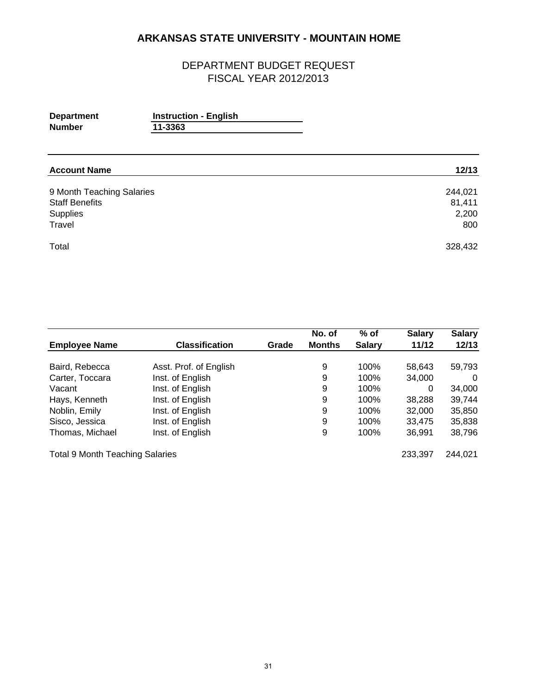| <b>Department</b> | <b>Instruction - English</b> |  |
|-------------------|------------------------------|--|
| <b>Number</b>     | 11-3363                      |  |
|                   |                              |  |

| <b>Account Name</b>       | 12/13   |
|---------------------------|---------|
| 9 Month Teaching Salaries | 244,021 |
| <b>Staff Benefits</b>     | 81,411  |
| Supplies                  | 2,200   |
| Travel                    | 800     |
| Total                     | 328,432 |

|                                        |                        |       | No. of        | $%$ of        | <b>Salary</b> | <b>Salary</b> |
|----------------------------------------|------------------------|-------|---------------|---------------|---------------|---------------|
| <b>Employee Name</b>                   | <b>Classification</b>  | Grade | <b>Months</b> | <b>Salary</b> | 11/12         | 12/13         |
|                                        |                        |       |               |               |               |               |
| Baird, Rebecca                         | Asst. Prof. of English |       | 9             | 100%          | 58,643        | 59,793        |
| Carter, Toccara                        | Inst. of English       |       | 9             | 100%          | 34,000        | 0             |
| Vacant                                 | Inst. of English       |       | 9             | 100%          | 0             | 34,000        |
| Hays, Kenneth                          | Inst. of English       |       | 9             | 100%          | 38.288        | 39,744        |
| Noblin, Emily                          | Inst. of English       |       | 9             | 100%          | 32,000        | 35,850        |
| Sisco, Jessica                         | Inst. of English       |       | 9             | 100%          | 33.475        | 35,838        |
| Thomas, Michael                        | Inst. of English       |       | 9             | 100%          | 36.991        | 38,796        |
| <b>Total 9 Month Teaching Salaries</b> |                        |       |               |               | 233,397       | 244.021       |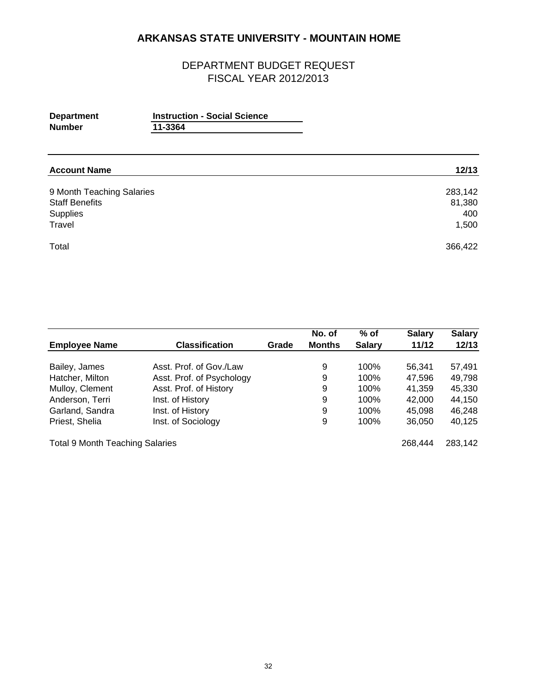| <b>Department</b><br><b>Number</b>                                       | <b>Instruction - Social Science</b><br>11-3364 |                                   |
|--------------------------------------------------------------------------|------------------------------------------------|-----------------------------------|
| <b>Account Name</b>                                                      |                                                | 12/13                             |
| 9 Month Teaching Salaries<br><b>Staff Benefits</b><br>Supplies<br>Travel |                                                | 283,142<br>81,380<br>400<br>1,500 |
| Total                                                                    |                                                | 366,422                           |

|                                        |                           |       | No. of        | $%$ of        | <b>Salary</b> | <b>Salary</b> |
|----------------------------------------|---------------------------|-------|---------------|---------------|---------------|---------------|
| <b>Employee Name</b>                   | <b>Classification</b>     | Grade | <b>Months</b> | <b>Salary</b> | 11/12         | 12/13         |
|                                        |                           |       |               |               |               |               |
| Bailey, James                          | Asst. Prof. of Gov./Law   |       | 9             | 100%          | 56.341        | 57.491        |
| Hatcher, Milton                        | Asst. Prof. of Psychology |       | 9             | 100%          | 47,596        | 49,798        |
| Mulloy, Clement                        | Asst. Prof. of History    |       | 9             | 100%          | 41,359        | 45,330        |
| Anderson, Terri                        | Inst. of History          |       | 9             | 100%          | 42,000        | 44,150        |
| Garland, Sandra                        | Inst. of History          |       | 9             | 100%          | 45.098        | 46,248        |
| Priest, Shelia                         | Inst. of Sociology        |       | 9             | 100%          | 36,050        | 40,125        |
| <b>Total 9 Month Teaching Salaries</b> |                           |       |               |               | 268.444       | 283,142       |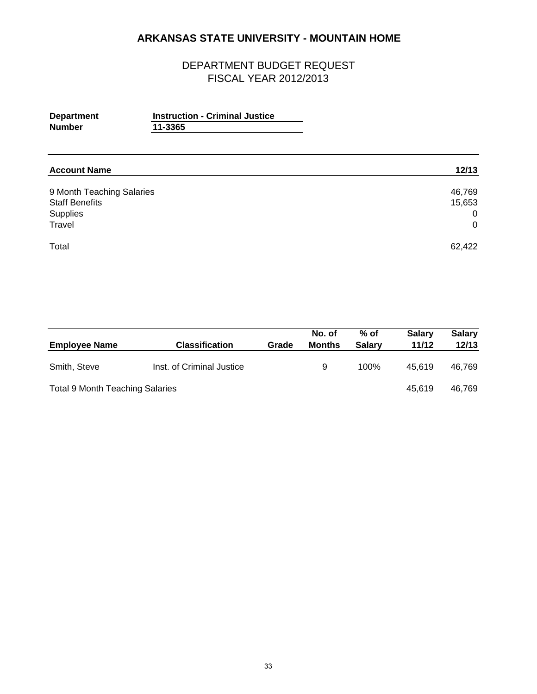| <b>Department</b><br><b>Number</b>                                       | <b>Instruction - Criminal Justice</b><br>11-3365 |                                                   |
|--------------------------------------------------------------------------|--------------------------------------------------|---------------------------------------------------|
| <b>Account Name</b>                                                      |                                                  | 12/13                                             |
| 9 Month Teaching Salaries<br><b>Staff Benefits</b><br>Supplies<br>Travel |                                                  | 46,769<br>15,653<br>$\overline{0}$<br>$\mathbf 0$ |
| Total                                                                    |                                                  | 62,422                                            |

| <b>Employee Name</b>                   | <b>Classification</b>     | Grade | No. of<br>Months | $%$ of<br><b>Salarv</b> | <b>Salary</b><br>11/12 | <b>Salary</b><br>12/13 |
|----------------------------------------|---------------------------|-------|------------------|-------------------------|------------------------|------------------------|
| Smith, Steve                           | Inst. of Criminal Justice |       | 9                | 100%                    | 45.619                 | 46.769                 |
| <b>Total 9 Month Teaching Salaries</b> |                           |       |                  |                         | 45.619                 | 46.769                 |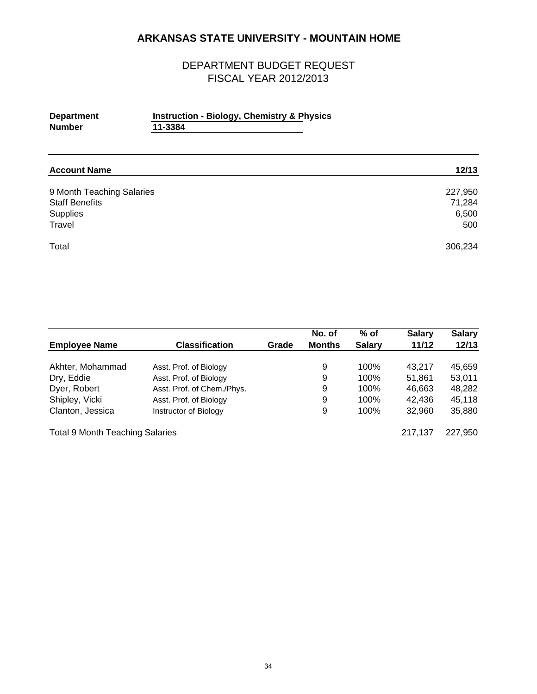| <b>Department</b> | <b>Instruction - Biology, Chemistry &amp; Physics</b> |
|-------------------|-------------------------------------------------------|
| <b>Number</b>     | 11-3384                                               |
|                   |                                                       |

| <b>Account Name</b>       | 12/13   |
|---------------------------|---------|
| 9 Month Teaching Salaries | 227,950 |
| <b>Staff Benefits</b>     | 71,284  |
| Supplies                  | 6,500   |
| Travel                    | 500     |
| Total                     | 306,234 |

|                                        |                            |       | No. of        | $%$ of        | <b>Salary</b> | <b>Salary</b> |
|----------------------------------------|----------------------------|-------|---------------|---------------|---------------|---------------|
| <b>Employee Name</b>                   | <b>Classification</b>      | Grade | <b>Months</b> | <b>Salary</b> | 11/12         | 12/13         |
| Akhter, Mohammad                       | Asst. Prof. of Biology     |       | 9             | 100%          | 43.217        | 45.659        |
| Dry, Eddie                             | Asst. Prof. of Biology     |       | 9             | 100%          | 51.861        | 53,011        |
| Dyer, Robert                           | Asst. Prof. of Chem./Phys. |       | 9             | 100%          | 46,663        | 48,282        |
| Shipley, Vicki                         | Asst. Prof. of Biology     |       | 9             | 100%          | 42.436        | 45,118        |
| Clanton, Jessica                       | Instructor of Biology      |       | 9             | 100%          | 32.960        | 35,880        |
| <b>Total 9 Month Teaching Salaries</b> |                            |       |               |               | 217,137       | 227,950       |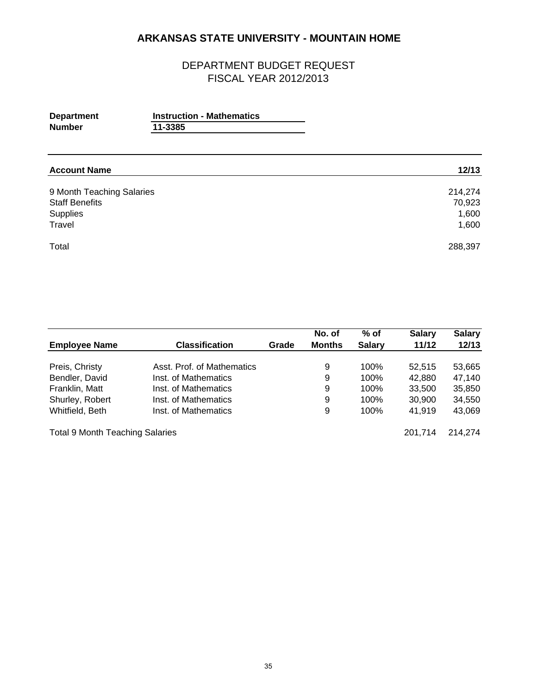| <b>Department</b><br><b>Number</b>                                       | <b>Instruction - Mathematics</b><br>11-3385 |                                     |
|--------------------------------------------------------------------------|---------------------------------------------|-------------------------------------|
| <b>Account Name</b>                                                      |                                             | 12/13                               |
| 9 Month Teaching Salaries<br><b>Staff Benefits</b><br>Supplies<br>Travel |                                             | 214,274<br>70,923<br>1,600<br>1,600 |
| Total                                                                    |                                             | 288,397                             |

|                                        |                            |       | No. of        | $%$ of        | <b>Salary</b> | <b>Salary</b> |
|----------------------------------------|----------------------------|-------|---------------|---------------|---------------|---------------|
| <b>Employee Name</b>                   | <b>Classification</b>      | Grade | <b>Months</b> | <b>Salary</b> | 11/12         | 12/13         |
| Preis, Christy                         | Asst. Prof. of Mathematics |       | 9             | 100%          | 52.515        | 53,665        |
| Bendler, David                         | Inst. of Mathematics       |       | 9             | 100%          | 42,880        | 47,140        |
| Franklin, Matt                         | Inst. of Mathematics       |       | 9             | 100%          | 33,500        | 35,850        |
| Shurley, Robert                        | Inst. of Mathematics       |       | 9             | 100%          | 30,900        | 34,550        |
| Whitfield, Beth                        | Inst. of Mathematics       |       | 9             | 100%          | 41.919        | 43,069        |
| <b>Total 9 Month Teaching Salaries</b> |                            |       |               |               | 201.714       | 214.274       |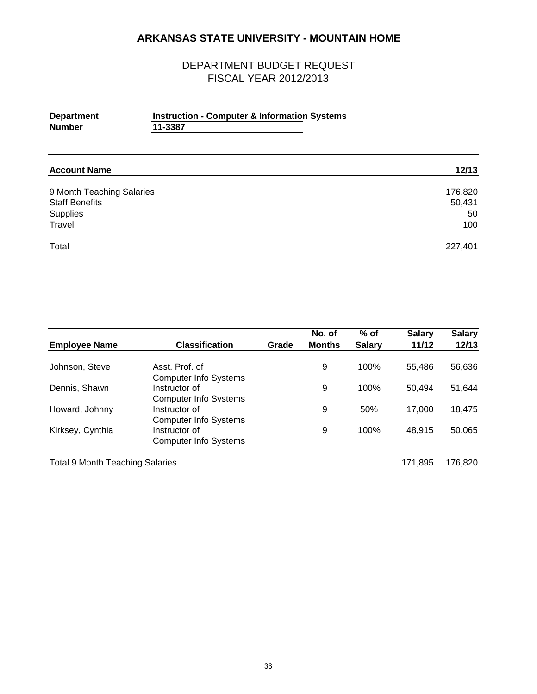## DEPARTMENT BUDGET REQUEST FISCAL YEAR 2012/2013

#### **Department Instruction - Computer & Information Systems**<br>Number 11-3387 **Number 11-3387**

| <b>Account Name</b>       | 12/13   |
|---------------------------|---------|
| 9 Month Teaching Salaries | 176,820 |
| <b>Staff Benefits</b>     | 50,431  |
| Supplies                  | 50      |
| Travel                    | 100     |
| Total                     | 227,401 |

| <b>Employee Name</b>                   | <b>Classification</b>                          | Grade | No. of<br><b>Months</b> | $%$ of<br><b>Salary</b> | <b>Salary</b><br>11/12 | <b>Salary</b><br>12/13 |
|----------------------------------------|------------------------------------------------|-------|-------------------------|-------------------------|------------------------|------------------------|
|                                        |                                                |       |                         |                         |                        |                        |
| Johnson, Steve                         | Asst. Prof. of<br><b>Computer Info Systems</b> |       | 9                       | 100%                    | 55.486                 | 56,636                 |
| Dennis, Shawn                          | Instructor of<br><b>Computer Info Systems</b>  |       | 9                       | 100%                    | 50.494                 | 51,644                 |
| Howard, Johnny                         | Instructor of<br><b>Computer Info Systems</b>  |       | 9                       | 50%                     | 17.000                 | 18,475                 |
| Kirksey, Cynthia                       | Instructor of<br><b>Computer Info Systems</b>  |       | 9                       | 100%                    | 48,915                 | 50,065                 |
| <b>Total 9 Month Teaching Salaries</b> |                                                |       |                         |                         | 171,895                | 176.820                |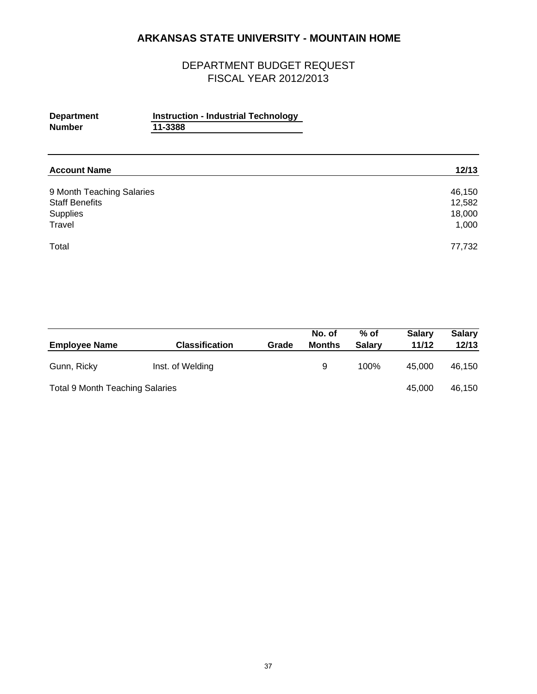| <b>Department</b><br><b>Number</b>                                       | <b>Instruction - Industrial Technology</b><br>11-3388 |                                     |
|--------------------------------------------------------------------------|-------------------------------------------------------|-------------------------------------|
| <b>Account Name</b>                                                      |                                                       | 12/13                               |
| 9 Month Teaching Salaries<br><b>Staff Benefits</b><br>Supplies<br>Travel |                                                       | 46,150<br>12,582<br>18,000<br>1,000 |
| Total                                                                    |                                                       | 77,732                              |

| <b>Employee Name</b>                   | <b>Classification</b> | Grade | No. of<br>Months | $%$ of<br><b>Salary</b> | <b>Salary</b><br>11/12 | <b>Salary</b><br>12/13 |
|----------------------------------------|-----------------------|-------|------------------|-------------------------|------------------------|------------------------|
| Gunn, Ricky                            | Inst. of Welding      |       | 9                | 100%                    | 45,000                 | 46.150                 |
| <b>Total 9 Month Teaching Salaries</b> |                       |       |                  |                         | 45,000                 | 46,150                 |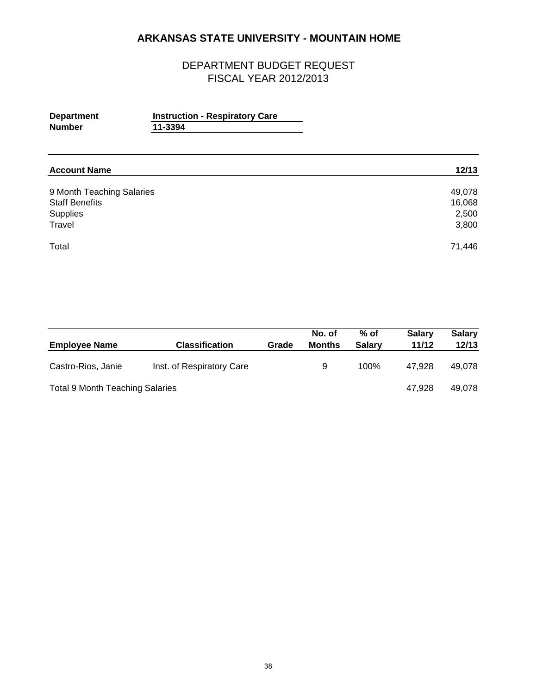| <b>Department</b><br><b>Number</b>                                       | <b>Instruction - Respiratory Care</b><br>11-3394 |                                    |
|--------------------------------------------------------------------------|--------------------------------------------------|------------------------------------|
| <b>Account Name</b>                                                      |                                                  | 12/13                              |
| 9 Month Teaching Salaries<br><b>Staff Benefits</b><br>Supplies<br>Travel |                                                  | 49,078<br>16,068<br>2,500<br>3,800 |
| Total                                                                    |                                                  | 71,446                             |

| <b>Employee Name</b>                   | <b>Classification</b>     | Grade | No. of<br><b>Months</b> | $%$ of<br><b>Salarv</b> | <b>Salary</b><br>11/12 | <b>Salary</b><br>12/13 |
|----------------------------------------|---------------------------|-------|-------------------------|-------------------------|------------------------|------------------------|
| Castro-Rios, Janie                     | Inst. of Respiratory Care |       | 9                       | 100%                    | 47.928                 | 49.078                 |
| <b>Total 9 Month Teaching Salaries</b> |                           |       |                         |                         | 47.928                 | 49.078                 |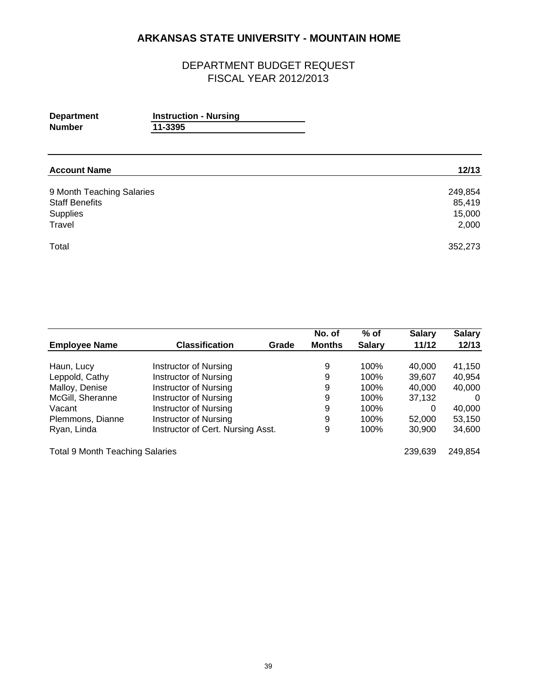| <b>Department</b> | <b>Instruction - Nursing</b> |  |
|-------------------|------------------------------|--|
| <b>Number</b>     | 11-3395                      |  |
|                   |                              |  |
|                   |                              |  |

| <b>Account Name</b>       | 12/13   |
|---------------------------|---------|
|                           |         |
| 9 Month Teaching Salaries | 249,854 |
| <b>Staff Benefits</b>     | 85,419  |
| Supplies                  | 15,000  |
| Travel                    | 2,000   |
| Total                     | 352,273 |

|                                        |                                   |       | No. of        | $%$ of        | <b>Salary</b> | <b>Salary</b> |
|----------------------------------------|-----------------------------------|-------|---------------|---------------|---------------|---------------|
| <b>Employee Name</b>                   | <b>Classification</b>             | Grade | <b>Months</b> | <b>Salary</b> | 11/12         | 12/13         |
|                                        |                                   |       |               |               |               |               |
| Haun, Lucy                             | Instructor of Nursing             |       | 9             | 100%          | 40,000        | 41,150        |
| Leppold, Cathy                         | <b>Instructor of Nursing</b>      |       | 9             | 100%          | 39,607        | 40,954        |
| Malloy, Denise                         | <b>Instructor of Nursing</b>      |       | 9             | 100%          | 40,000        | 40,000        |
| McGill, Sheranne                       | Instructor of Nursing             |       | 9             | 100%          | 37,132        | $\Omega$      |
| Vacant                                 | <b>Instructor of Nursing</b>      |       | 9             | 100%          | 0             | 40,000        |
| Plemmons, Dianne                       | Instructor of Nursing             |       | 9             | 100%          | 52,000        | 53,150        |
| Ryan, Linda                            | Instructor of Cert. Nursing Asst. |       | 9             | 100%          | 30,900        | 34,600        |
| <b>Total 9 Month Teaching Salaries</b> |                                   |       |               |               | 239,639       | 249,854       |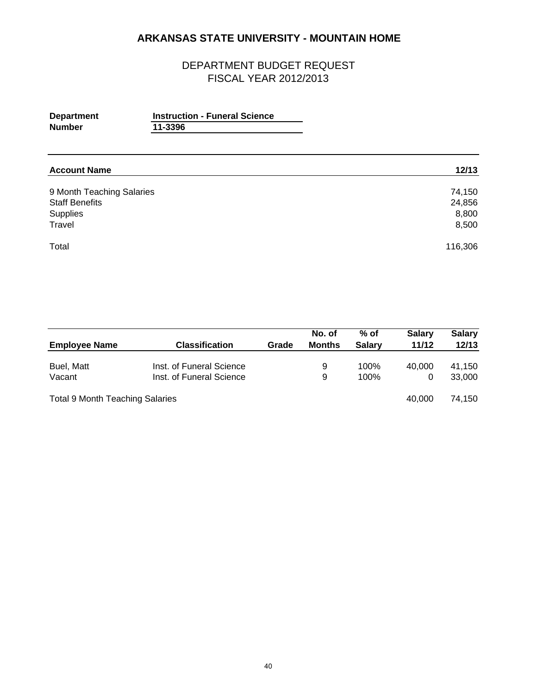| <b>Department</b><br><b>Number</b>                             | <b>Instruction - Funeral Science</b><br>11-3396 |                           |
|----------------------------------------------------------------|-------------------------------------------------|---------------------------|
| <b>Account Name</b>                                            |                                                 | 12/13                     |
| 9 Month Teaching Salaries<br><b>Staff Benefits</b><br>Supplies |                                                 | 74,150<br>24,856<br>8,800 |
| Travel                                                         |                                                 | 8,500                     |
| Total                                                          |                                                 | 116,306                   |

|                                        |                          |       | No. of        | $%$ of        | <b>Salary</b> | <b>Salary</b> |
|----------------------------------------|--------------------------|-------|---------------|---------------|---------------|---------------|
| <b>Employee Name</b>                   | <b>Classification</b>    | Grade | <b>Months</b> | <b>Salarv</b> | 11/12         | 12/13         |
| Buel, Matt                             | Inst. of Funeral Science |       | 9             | 100%          | 40,000        | 41.150        |
| Vacant                                 | Inst. of Funeral Science |       | 9             | 100%          | 0             | 33,000        |
| <b>Total 9 Month Teaching Salaries</b> |                          |       |               |               | 40.000        | 74.150        |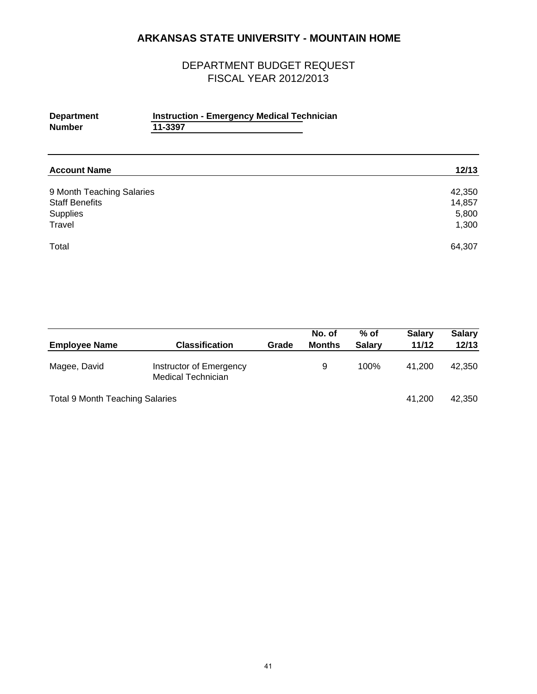| <b>Department</b> | <b>Instruction - Emergency Medical Technician</b> |  |
|-------------------|---------------------------------------------------|--|
| <b>Number</b>     | 11-3397                                           |  |
|                   |                                                   |  |

| <b>Account Name</b>       | 12/13  |
|---------------------------|--------|
| 9 Month Teaching Salaries | 42,350 |
| <b>Staff Benefits</b>     | 14,857 |
| Supplies                  | 5,800  |
| Travel                    | 1,300  |
| Total                     | 64,307 |

| <b>Employee Name</b>                   | <b>Classification</b>                                | Grade | No. of<br><b>Months</b> | $%$ of<br><b>Salarv</b> | <b>Salary</b><br>11/12 | <b>Salary</b><br>12/13 |
|----------------------------------------|------------------------------------------------------|-------|-------------------------|-------------------------|------------------------|------------------------|
| Magee, David                           | Instructor of Emergency<br><b>Medical Technician</b> |       | 9                       | 100%                    | 41.200                 | 42,350                 |
| <b>Total 9 Month Teaching Salaries</b> |                                                      |       |                         |                         | 41.200                 | 42,350                 |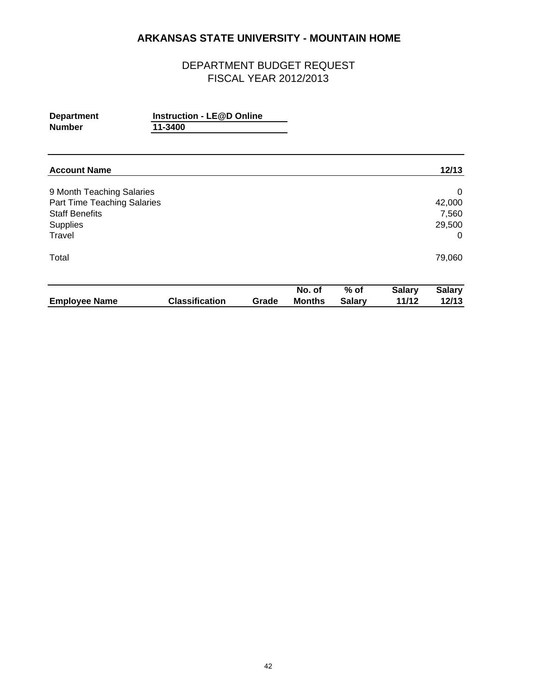| <b>Department</b><br><b>Number</b>                                                                             | <b>Instruction - LE@D Online</b><br>11-3400 |       |                         |                         |                        |                                     |
|----------------------------------------------------------------------------------------------------------------|---------------------------------------------|-------|-------------------------|-------------------------|------------------------|-------------------------------------|
| <b>Account Name</b>                                                                                            |                                             |       |                         |                         |                        | 12/13                               |
| 9 Month Teaching Salaries<br>Part Time Teaching Salaries<br><b>Staff Benefits</b><br><b>Supplies</b><br>Travel |                                             |       |                         |                         |                        | 0<br>42,000<br>7,560<br>29,500<br>0 |
| Total                                                                                                          |                                             |       |                         |                         |                        | 79,060                              |
| <b>Employee Name</b>                                                                                           | <b>Classification</b>                       | Grade | No. of<br><b>Months</b> | $%$ of<br><b>Salary</b> | <b>Salary</b><br>11/12 | <b>Salary</b><br>12/13              |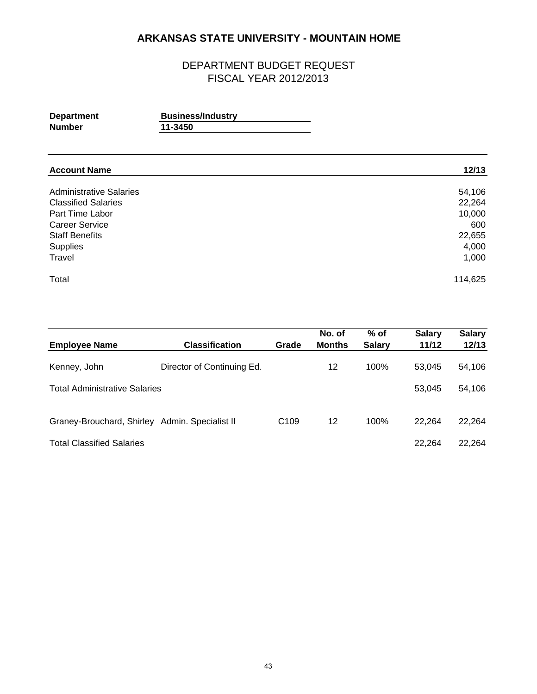| <b>Department</b>              | <b>Business/Industry</b> |        |
|--------------------------------|--------------------------|--------|
| <b>Number</b>                  | 11-3450                  |        |
| <b>Account Name</b>            |                          | 12/13  |
| <b>Administrative Salaries</b> |                          | 54,106 |
| <b>Classified Salaries</b>     |                          | 22,264 |
| Deal There I also a            |                          | 10.000 |

| 22,204  |
|---------|
| 10,000  |
| 600     |
| 22,655  |
| 4,000   |
| 1,000   |
| 114,625 |
|         |

| <b>Employee Name</b>                           | <b>Classification</b>      | Grade            | No. of<br><b>Months</b> | $%$ of<br><b>Salary</b> | <b>Salary</b><br>11/12 | <b>Salary</b><br>12/13 |
|------------------------------------------------|----------------------------|------------------|-------------------------|-------------------------|------------------------|------------------------|
| Kenney, John                                   | Director of Continuing Ed. |                  | 12                      | 100%                    | 53.045                 | 54,106                 |
| <b>Total Administrative Salaries</b>           |                            |                  |                         |                         | 53,045                 | 54,106                 |
| Graney-Brouchard, Shirley Admin. Specialist II |                            | C <sub>109</sub> | 12                      | 100%                    | 22,264                 | 22,264                 |
| <b>Total Classified Salaries</b>               |                            |                  |                         |                         | 22,264                 | 22,264                 |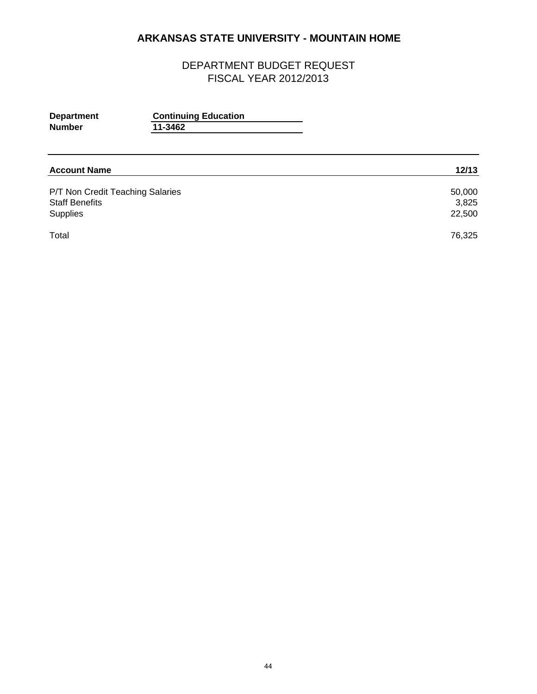## DEPARTMENT BUDGET REQUEST FISCAL YEAR 2012/2013

| <b>Department</b><br><b>Number</b> | <b>Continuing Education</b><br>11-3462 |        |
|------------------------------------|----------------------------------------|--------|
|                                    |                                        |        |
| <b>Account Name</b>                |                                        | 12/13  |
| P/T Non Credit Teaching Salaries   |                                        | 50,000 |
| <b>Staff Benefits</b>              |                                        | 3,825  |
| Supplies                           |                                        | 22,500 |

Total 76,325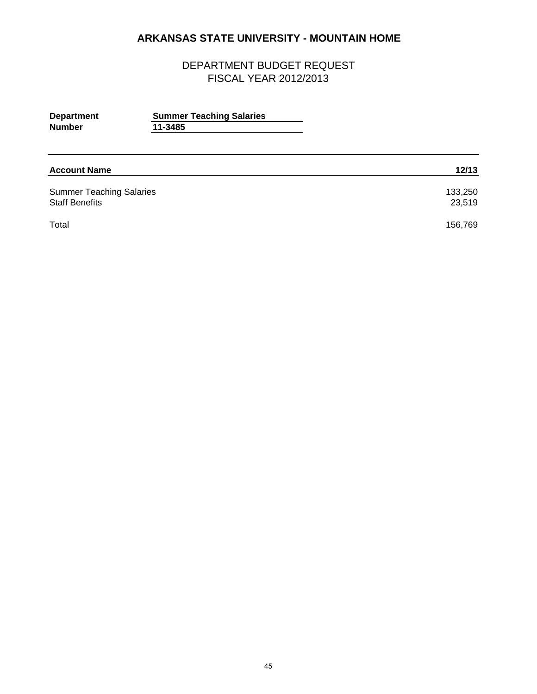| <b>Department</b><br><b>Number</b>                       | <b>Summer Teaching Salaries</b><br>11-3485 |                   |
|----------------------------------------------------------|--------------------------------------------|-------------------|
| <b>Account Name</b>                                      |                                            | 12/13             |
| <b>Summer Teaching Salaries</b><br><b>Staff Benefits</b> |                                            | 133,250<br>23,519 |
| Total                                                    |                                            | 156,769           |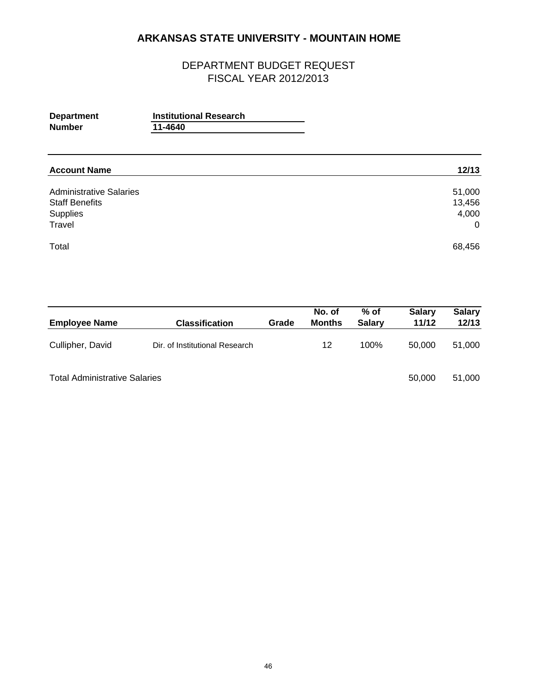| <b>Department</b><br><b>Number</b>                                            | <b>Institutional Research</b><br>11-4640 |                                             |
|-------------------------------------------------------------------------------|------------------------------------------|---------------------------------------------|
| <b>Account Name</b>                                                           |                                          | 12/13                                       |
| <b>Administrative Salaries</b><br><b>Staff Benefits</b><br>Supplies<br>Travel |                                          | 51,000<br>13,456<br>4,000<br>$\overline{0}$ |
| Total                                                                         |                                          | 68,456                                      |

| <b>Employee Name</b>                 | Classification                 | Grade | No. of<br><b>Months</b> | $%$ of<br><b>Salary</b> | <b>Salary</b><br>11/12 | <b>Salary</b><br>12/13 |
|--------------------------------------|--------------------------------|-------|-------------------------|-------------------------|------------------------|------------------------|
| Cullipher, David                     | Dir. of Institutional Research |       | 12                      | 100%                    | 50,000                 | 51,000                 |
| <b>Total Administrative Salaries</b> |                                |       |                         |                         | 50,000                 | 51,000                 |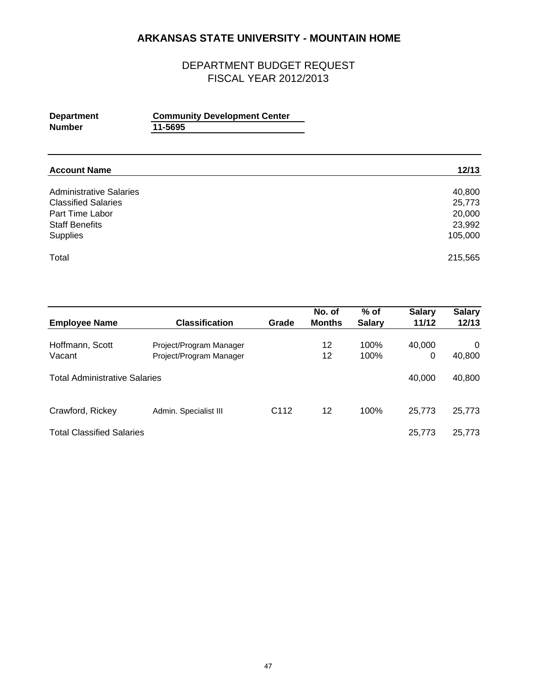| <b>Department</b><br><b>Number</b> | <b>Community Development Center</b><br>11-5695 |        |
|------------------------------------|------------------------------------------------|--------|
|                                    |                                                |        |
| <b>Account Name</b>                |                                                | 12/13  |
| <b>Administrative Salaries</b>     |                                                | 40,800 |

| 40,800  |
|---------|
| 25,773  |
| 20,000  |
| 23.992  |
| 105,000 |
| 215,565 |
|         |

|                         |                                                                                                                   | No. of                    | $%$ of        | <b>Salary</b> | <b>Salary</b><br>12/13    |
|-------------------------|-------------------------------------------------------------------------------------------------------------------|---------------------------|---------------|---------------|---------------------------|
|                         |                                                                                                                   |                           |               |               |                           |
|                         |                                                                                                                   | 12                        | 100%          |               | 0                         |
| Project/Program Manager |                                                                                                                   | 12                        | 100%          | 0             | 40,800                    |
|                         |                                                                                                                   |                           |               |               |                           |
|                         |                                                                                                                   |                           |               | 40.000        | 40,800                    |
|                         |                                                                                                                   |                           |               |               |                           |
|                         |                                                                                                                   | 12                        | 100%          |               | 25,773                    |
|                         |                                                                                                                   |                           |               |               |                           |
|                         |                                                                                                                   |                           |               | 25,773        | 25,773                    |
|                         | <b>Classification</b><br>Project/Program Manager<br><b>Total Administrative Salaries</b><br>Admin. Specialist III | Grade<br>C <sub>112</sub> | <b>Months</b> | <b>Salary</b> | 11/12<br>40,000<br>25,773 |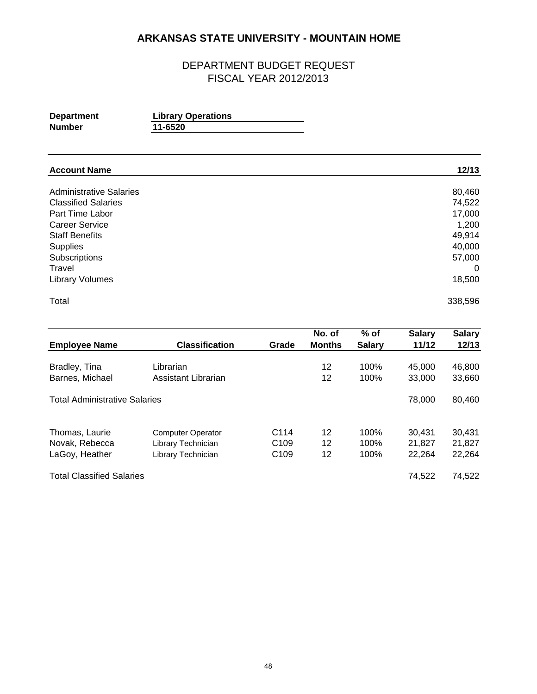| <b>Department</b> | <b>Library Operations</b> |
|-------------------|---------------------------|
| Number            | 11-6520                   |

| <b>Account Name</b>            | 12/13    |
|--------------------------------|----------|
| <b>Administrative Salaries</b> | 80,460   |
| <b>Classified Salaries</b>     | 74,522   |
| Part Time Labor                | 17,000   |
| <b>Career Service</b>          | 1,200    |
| <b>Staff Benefits</b>          | 49,914   |
| <b>Supplies</b>                | 40,000   |
| Subscriptions                  | 57,000   |
| Travel                         | $\Omega$ |
| <b>Library Volumes</b>         | 18,500   |
| Total                          | 338,596  |

|                                      |                          |                  | No. of        | $%$ of        | <b>Salary</b> | <b>Salary</b> |
|--------------------------------------|--------------------------|------------------|---------------|---------------|---------------|---------------|
| <b>Employee Name</b>                 | <b>Classification</b>    | Grade            | <b>Months</b> | <b>Salary</b> | 11/12         | 12/13         |
| Bradley, Tina                        | Librarian                |                  | 12            | 100%          | 45,000        | 46,800        |
| Barnes, Michael                      | Assistant Librarian      |                  | 12            | 100%          | 33,000        | 33,660        |
| <b>Total Administrative Salaries</b> |                          |                  |               |               | 78,000        | 80,460        |
| Thomas, Laurie                       | <b>Computer Operator</b> | C <sub>114</sub> | 12            | 100%          | 30.431        | 30,431        |
| Novak, Rebecca                       | Library Technician       | C <sub>109</sub> | 12            | 100%          | 21,827        | 21,827        |
| LaGoy, Heather                       | Library Technician       | C <sub>109</sub> | 12            | 100%          | 22,264        | 22,264        |
| <b>Total Classified Salaries</b>     |                          |                  |               |               | 74.522        | 74,522        |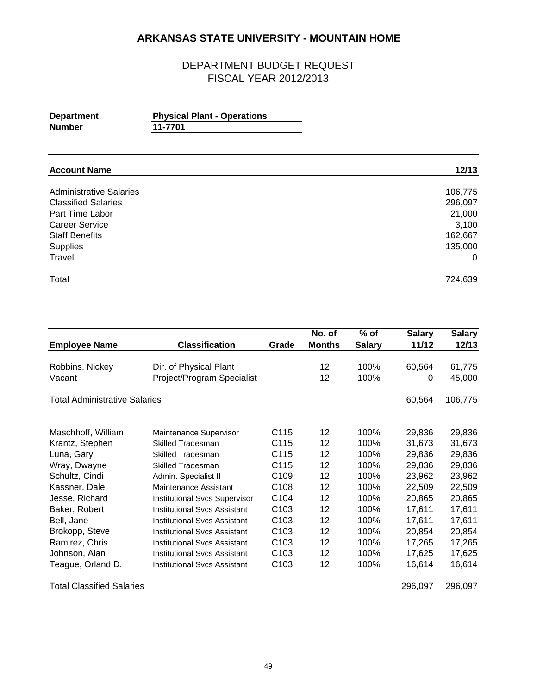#### DEPARTMENT BUDGET REQUEST FISCAL YEAR 2012/2013

| <b>Department</b> | <b>Physical Plant - Operations</b> |
|-------------------|------------------------------------|
| <b>Number</b>     | 11-7701                            |
|                   |                                    |

| <b>Account Name</b>            | 12/13    |
|--------------------------------|----------|
| <b>Administrative Salaries</b> | 106,775  |
| <b>Classified Salaries</b>     | 296,097  |
| Part Time Labor                | 21,000   |
| <b>Career Service</b>          | 3,100    |
| <b>Staff Benefits</b>          | 162,667  |
| Supplies                       | 135,000  |
| Travel                         | $\Omega$ |
| Total                          | 724,639  |

|                               |                                      |                  | No. of        | $%$ of        | <b>Salary</b> | <b>Salary</b> |
|-------------------------------|--------------------------------------|------------------|---------------|---------------|---------------|---------------|
| <b>Employee Name</b>          | <b>Classification</b>                | Grade            | <b>Months</b> | <b>Salary</b> | 11/12         | 12/13         |
|                               |                                      |                  |               |               |               |               |
| Robbins, Nickey               | Dir. of Physical Plant               |                  | 12            | 100%          | 60,564        | 61,775        |
| Vacant                        | Project/Program Specialist           |                  | 12            | 100%          | 0             | 45,000        |
| Total Administrative Salaries |                                      |                  |               |               | 60,564        | 106,775       |
| Maschhoff, William            | Maintenance Supervisor               | C115             | 12            | 100%          | 29,836        | 29,836        |
| Krantz, Stephen               | <b>Skilled Tradesman</b>             | C <sub>115</sub> | 12            | 100%          | 31,673        | 31,673        |
| Luna, Gary                    | Skilled Tradesman                    | C115             | 12            | 100%          | 29,836        | 29,836        |
| Wray, Dwayne                  | <b>Skilled Tradesman</b>             | C <sub>115</sub> | 12            | 100%          | 29,836        | 29,836        |
| Schultz, Cindi                | Admin. Specialist II                 | C <sub>109</sub> | 12            | 100%          | 23,962        | 23,962        |
| Kassner, Dale                 | Maintenance Assistant                | C <sub>108</sub> | 12            | 100%          | 22,509        | 22,509        |
| Jesse, Richard                | <b>Institutional Svcs Supervisor</b> | C <sub>104</sub> | 12            | 100%          | 20,865        | 20,865        |
| Baker, Robert                 | <b>Institutional Svcs Assistant</b>  | C <sub>103</sub> | 12            | 100%          | 17,611        | 17,611        |
| Bell, Jane                    | Institutional Svcs Assistant         | C <sub>103</sub> | 12            | 100%          | 17,611        | 17,611        |
| Brokopp, Steve                | Institutional Svcs Assistant         | C <sub>103</sub> | 12            | 100%          | 20,854        | 20,854        |
| Ramirez, Chris                | Institutional Svcs Assistant         | C <sub>103</sub> | 12            | 100%          | 17,265        | 17,265        |
| Johnson, Alan                 | <b>Institutional Svcs Assistant</b>  | C <sub>103</sub> | 12            | 100%          | 17,625        | 17,625        |
| Teague, Orland D.             | Institutional Sycs Assistant         | C <sub>103</sub> | 12            | 100%          | 16,614        | 16,614        |

Total Classified Salaries 296,097 296,097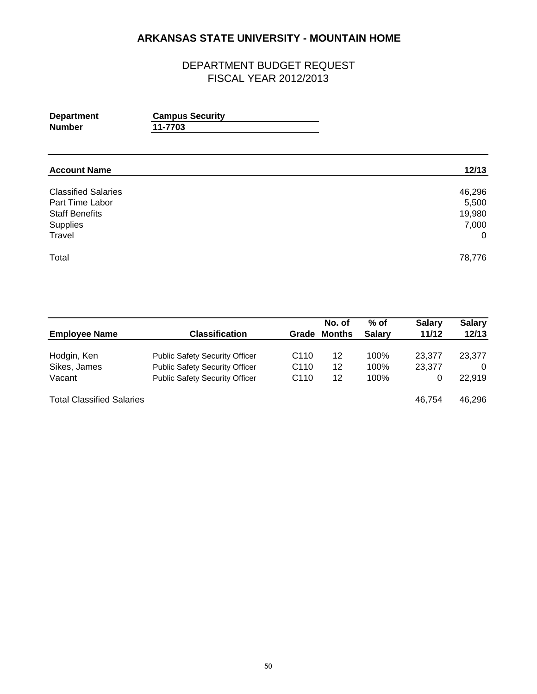| <b>Department</b><br><b>Number</b>                                                           | <b>Campus Security</b><br>11-7703 |                                                      |
|----------------------------------------------------------------------------------------------|-----------------------------------|------------------------------------------------------|
| <b>Account Name</b>                                                                          |                                   | 12/13                                                |
| <b>Classified Salaries</b><br>Part Time Labor<br><b>Staff Benefits</b><br>Supplies<br>Travel |                                   | 46,296<br>5,500<br>19,980<br>7,000<br>$\overline{0}$ |
| Total                                                                                        |                                   | 78,776                                               |

|                                  |                                       |                  | No. of | % of          | <b>Salary</b> | <b>Salary</b> |
|----------------------------------|---------------------------------------|------------------|--------|---------------|---------------|---------------|
| <b>Employee Name</b>             | <b>Classification</b>                 | Grade            | Months | <b>Salary</b> | 11/12         | 12/13         |
| Hodgin, Ken                      | <b>Public Safety Security Officer</b> | C <sub>110</sub> | 12     | 100%          | 23,377        | 23,377        |
| Sikes, James                     | <b>Public Safety Security Officer</b> | C <sub>110</sub> | 12     | 100%          | 23.377        | 0             |
| Vacant                           | <b>Public Safety Security Officer</b> | C <sub>110</sub> | 12     | 100%          | 0             | 22,919        |
| <b>Total Classified Salaries</b> |                                       |                  |        |               | 46.754        | 46,296        |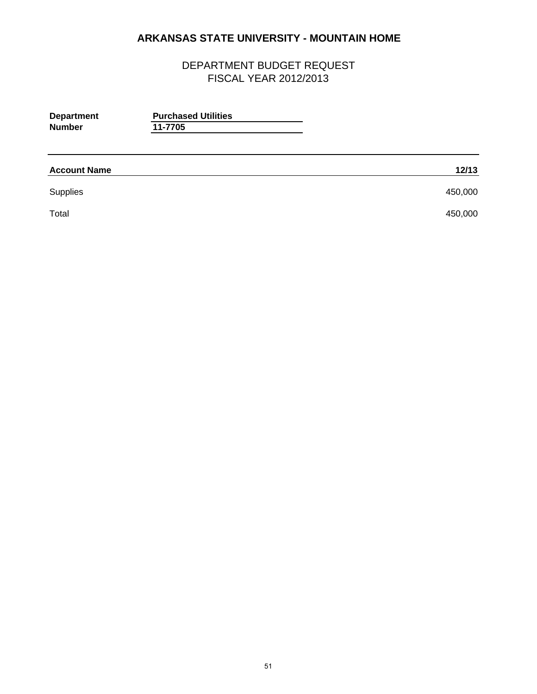| <b>Department</b><br><b>Number</b> | <b>Purchased Utilities</b><br>11-7705 |         |
|------------------------------------|---------------------------------------|---------|
| <b>Account Name</b>                |                                       | 12/13   |
| Supplies                           |                                       | 450,000 |
| Total                              |                                       | 450,000 |
|                                    |                                       |         |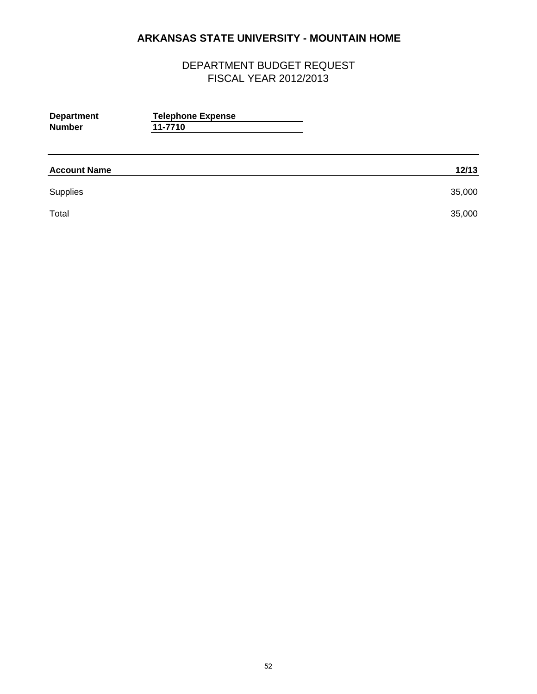| <b>Department</b><br><b>Number</b> | <b>Telephone Expense</b><br>11-7710 |        |
|------------------------------------|-------------------------------------|--------|
| <b>Account Name</b>                |                                     | 12/13  |
| Supplies                           |                                     | 35,000 |
| Total                              |                                     | 35,000 |
|                                    |                                     |        |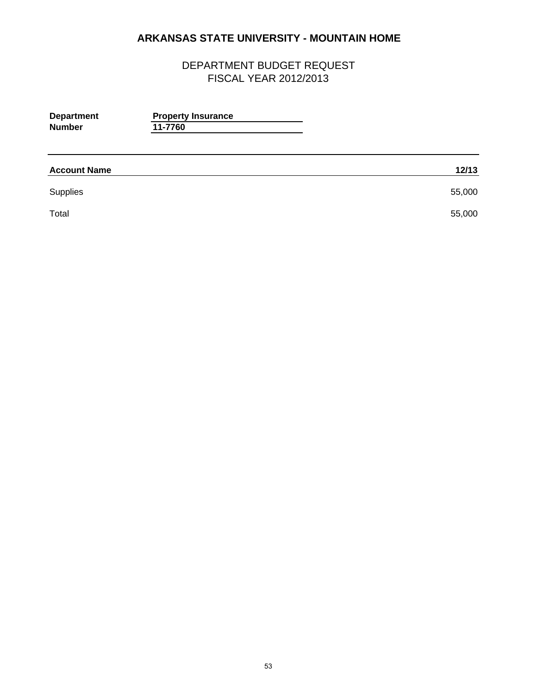| <b>Department</b><br><b>Number</b> | <b>Property Insurance</b><br>11-7760 |        |
|------------------------------------|--------------------------------------|--------|
| <b>Account Name</b>                |                                      | 12/13  |
| Supplies                           |                                      | 55,000 |
| Total                              |                                      | 55,000 |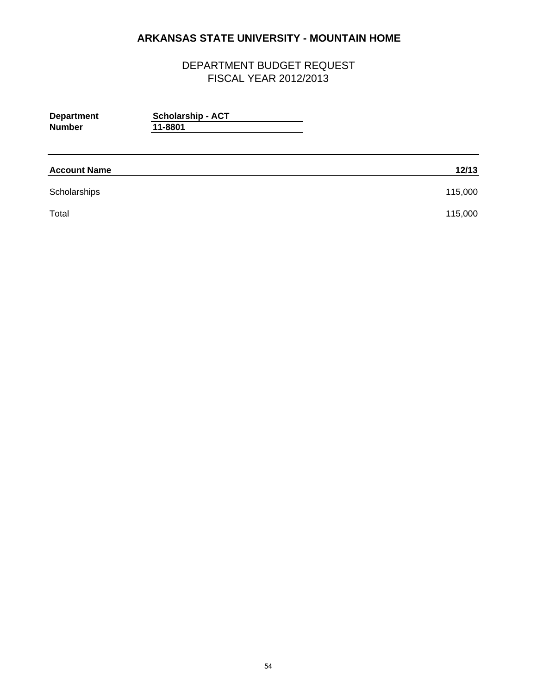| <b>Department</b><br><b>Number</b> | <b>Scholarship - ACT</b><br>11-8801 |         |
|------------------------------------|-------------------------------------|---------|
| <b>Account Name</b>                |                                     | 12/13   |
| Scholarships                       |                                     | 115,000 |
| Total                              |                                     | 115,000 |
|                                    |                                     |         |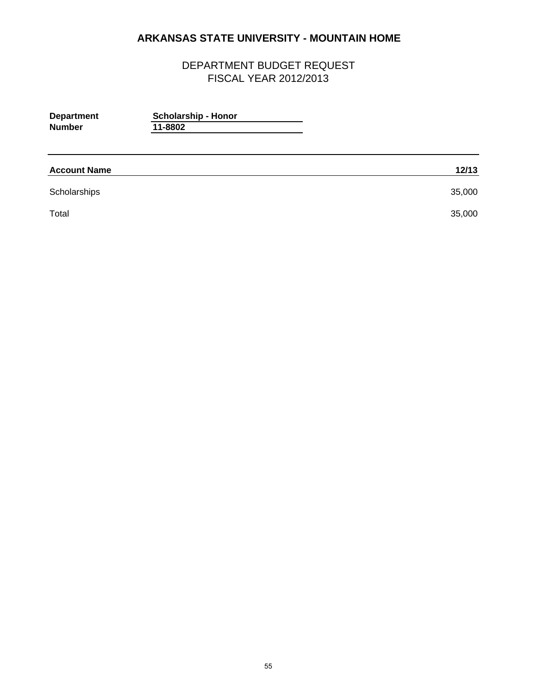| <b>Department</b><br><b>Number</b> | <b>Scholarship - Honor</b><br>11-8802 |        |
|------------------------------------|---------------------------------------|--------|
| <b>Account Name</b>                |                                       | 12/13  |
| Scholarships                       |                                       | 35,000 |
| Total                              |                                       | 35,000 |
|                                    |                                       |        |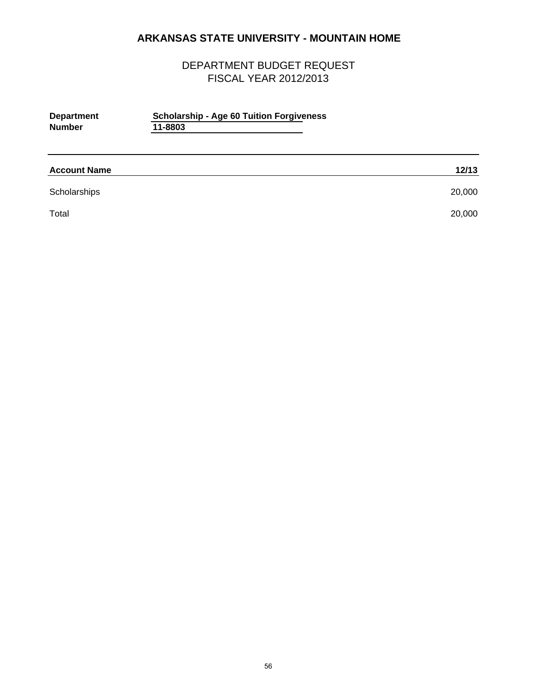| <b>Department</b><br><b>Number</b> | <b>Scholarship - Age 60 Tuition Forgiveness</b><br>11-8803 |        |
|------------------------------------|------------------------------------------------------------|--------|
| <b>Account Name</b>                |                                                            | 12/13  |
| Scholarships                       |                                                            | 20,000 |
| Total                              |                                                            | 20,000 |
|                                    |                                                            |        |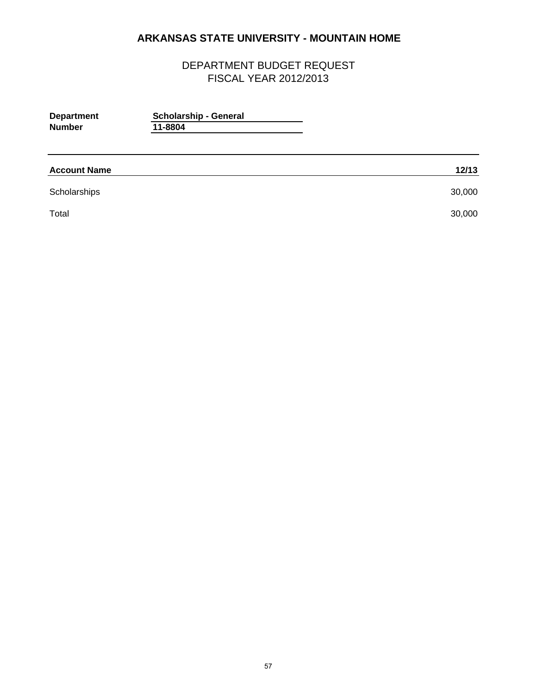| <b>Scholarship - General</b><br>11-8804 |        |
|-----------------------------------------|--------|
|                                         | 12/13  |
|                                         | 30,000 |
|                                         | 30,000 |
|                                         |        |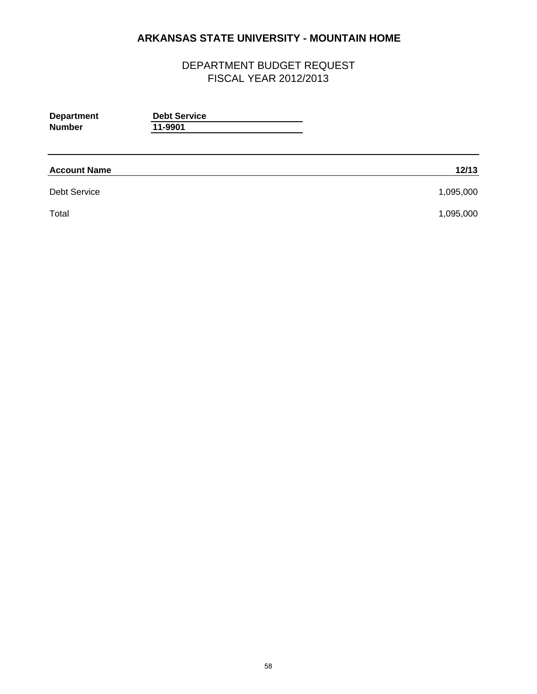| <b>Department</b><br><b>Number</b> | <b>Debt Service</b><br>11-9901 |           |
|------------------------------------|--------------------------------|-----------|
| <b>Account Name</b>                |                                | 12/13     |
| <b>Debt Service</b>                |                                | 1,095,000 |
| Total                              |                                | 1,095,000 |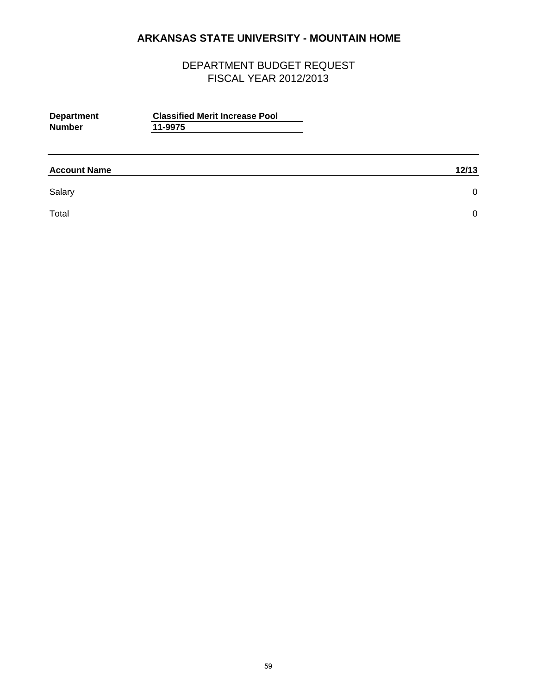| <b>Department</b><br><b>Number</b> | <b>Classified Merit Increase Pool</b><br>11-9975 |       |
|------------------------------------|--------------------------------------------------|-------|
| <b>Account Name</b>                |                                                  | 12/13 |
| Salary                             |                                                  | 0     |
| Total                              |                                                  | 0     |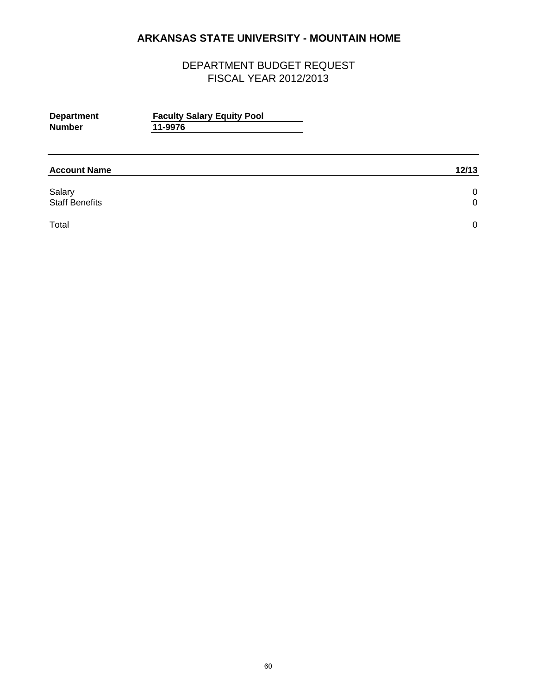| <b>Department</b><br><b>Number</b> | <b>Faculty Salary Equity Pool</b><br>11-9976 |        |
|------------------------------------|----------------------------------------------|--------|
| <b>Account Name</b>                |                                              | 12/13  |
| Salary<br><b>Staff Benefits</b>    |                                              | 0<br>0 |
| Total                              |                                              | 0      |